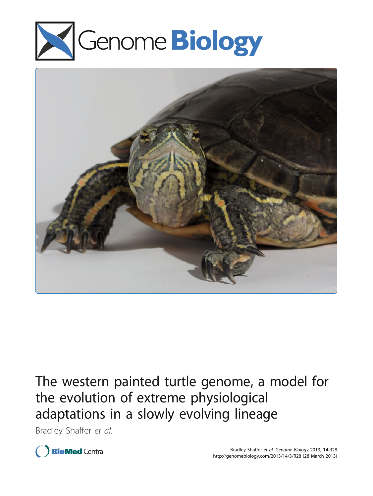



The western painted turtle genome, a model for the evolution of extreme physiological adaptations in a slowly evolving lineage

Bradley Shaffer et al.

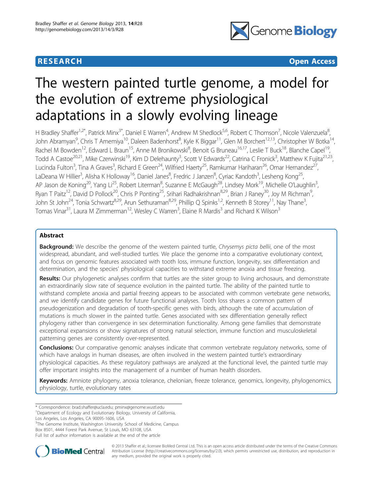

**RESEARCH CONTROL** CONTROL CONTROL CONTROL CONTROL CONTROL CONTROL CONTROL CONTROL CONTROL CONTROL CONTROL CONTROL CONTROL CONTROL CONTROL CONTROL CONTROL CONTROL CONTROL CONTROL CONTROL CONTROL CONTROL CONTROL CONTROL CON

# The western painted turtle genome, a model for the evolution of extreme physiological adaptations in a slowly evolving lineage

H Bradley Shaffer<sup>1,2\*</sup>, Patrick Minx<sup>3\*</sup>, Daniel E Warren<sup>4</sup>, Andrew M Shedlock<sup>5,6</sup>, Robert C Thomson<sup>7</sup>, Nicole Valenzuela<sup>8</sup> , John Abramyan<sup>9</sup>, Chris T Amemiya<sup>10</sup>, Daleen Badenhorst<sup>8</sup>, Kyle K Biggar<sup>11</sup>, Glen M Borchert<sup>12,13</sup>, Christopher W Botka<sup>14</sup>, Rachel M Bowden<sup>12</sup>, Edward L Braun<sup>15</sup>, Anne M Bronikowski<sup>8</sup>, Benoit G Bruneau<sup>16,17</sup>, Leslie T Buck<sup>18</sup>, Blanche Capel<sup>19</sup>, Todd A Castoe<sup>20,21</sup>, Mike Czerwinski<sup>19</sup>, Kim D Delehaunty<sup>3</sup>, Scott V Edwards<sup>22</sup>, Catrina C Fronick<sup>3</sup>, Matthew K Fujita<sup>21,23</sup>, Lucinda Fulton<sup>3</sup>, Tina A Graves<sup>3</sup>, Richard E Green<sup>24</sup>, Wilfried Haerty<sup>25</sup>, Ramkumar Hariharan<sup>26</sup>, Omar Hernandez<sup>27</sup>, LaDeana W Hillier<sup>3</sup>, Alisha K Holloway<sup>16</sup>, Daniel Janes<sup>8</sup>, Fredric J Janzen<sup>8</sup>, Cyriac Kandoth<sup>3</sup>, Lesheng Kong<sup>25</sup>, AP Jason de Koning<sup>20</sup>, Yang Li<sup>25</sup>, Robert Literman<sup>8</sup>, Suzanne E McGaugh<sup>28</sup>, Lindsey Mork<sup>19</sup>, Michelle O'Laughlin<sup>3</sup> , Ryan T Paitz<sup>12</sup>, David D Pollock<sup>20</sup>, Chris P Ponting<sup>25</sup>, Srihari Radhakrishnan<sup>8,29</sup>, Brian J Raney<sup>30</sup>, Joy M Richman<sup>9</sup>, , John St John<sup>24</sup>, Tonia Schwartz<sup>8,29</sup>, Arun Sethuraman<sup>8,29</sup>, Phillip Q Spinks<sup>1,2</sup>, Kenneth B Storey<sup>11</sup>, Nay Thane<sup>3</sup>, , Tomas Vinar $^{\text{31}}$ , Laura M Zimmerman $^{\text{12}}$ , Wesley C Warren $^{\text{3}}$ , Elaine R Mardis $^{\text{3}}$  and Richard K Wilson $^{\text{3}}$ 

# Abstract

Background: We describe the genome of the western painted turtle, Chrysemys picta bellii, one of the most widespread, abundant, and well-studied turtles. We place the genome into a comparative evolutionary context, and focus on genomic features associated with tooth loss, immune function, longevity, sex differentiation and determination, and the species' physiological capacities to withstand extreme anoxia and tissue freezing.

Results: Our phylogenetic analyses confirm that turtles are the sister group to living archosaurs, and demonstrate an extraordinarily slow rate of sequence evolution in the painted turtle. The ability of the painted turtle to withstand complete anoxia and partial freezing appears to be associated with common vertebrate gene networks, and we identify candidate genes for future functional analyses. Tooth loss shares a common pattern of pseudogenization and degradation of tooth-specific genes with birds, although the rate of accumulation of mutations is much slower in the painted turtle. Genes associated with sex differentiation generally reflect phylogeny rather than convergence in sex determination functionality. Among gene families that demonstrate exceptional expansions or show signatures of strong natural selection, immune function and musculoskeletal patterning genes are consistently over-represented.

**Conclusions:** Our comparative genomic analyses indicate that common vertebrate regulatory networks, some of which have analogs in human diseases, are often involved in the western painted turtle's extraordinary physiological capacities. As these regulatory pathways are analyzed at the functional level, the painted turtle may offer important insights into the management of a number of human health disorders.

Keywords: Amniote phylogeny, anoxia tolerance, chelonian, freeze tolerance, genomics, longevity, phylogenomics, physiology, turtle, evolutionary rates

<sup>3</sup>The Genome Institute, Washington University School of Medicine, Campus Box 8501, 4444 Forest Park Avenue, St Louis, MO 63108, USA Full list of author information is available at the end of the article



© 2013 Shaffer et al.; licensee BioMed Central Ltd. This is an open access article distributed under the terms of the Creative Commons Attribution License [\(http://creativecommons.org/licenses/by/2.0](http://creativecommons.org/licenses/by/2.0)), which permits unrestricted use, distribution, and reproduction in any medium, provided the original work is properly cited.

<sup>\*</sup> Correspondence: [brad.shaffer@ucla.edu;](mailto:brad.shaffer@ucla.edu) [pminx@genome.wustl.edu](mailto:pminx@genome.wustl.edu) <sup>1</sup>Department of Ecology and Evolutionary Biology, University of California,

Los Angeles, Los Angeles, CA 90095-1606, USA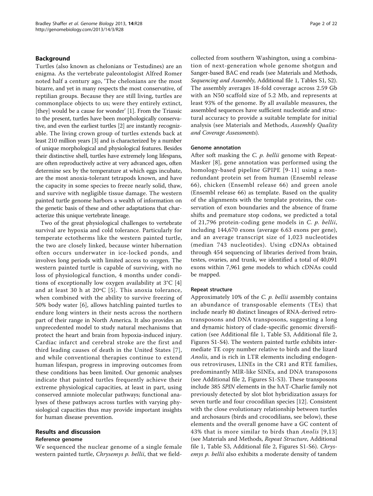# Background

Turtles (also known as chelonians or Testudines) are an enigma. As the vertebrate paleontologist Alfred Romer noted half a century ago, 'The chelonians are the most bizarre, and yet in many respects the most conservative, of reptilian groups. Because they are still living, turtles are commonplace objects to us; were they entirely extinct, [they] would be a cause for wonder' [\[1](#page-19-0)]. From the Triassic to the present, turtles have been morphologically conservative, and even the earliest turtles [\[2](#page-20-0)] are instantly recognizable. The living crown group of turtles extends back at least 210 million years [[3](#page-20-0)] and is characterized by a number of unique morphological and physiological features. Besides their distinctive shell, turtles have extremely long lifespans, are often reproductively active at very advanced ages, often determine sex by the temperature at which eggs incubate, are the most anoxia-tolerant tetrapods known, and have the capacity in some species to freeze nearly solid, thaw, and survive with negligible tissue damage. The western painted turtle genome harbors a wealth of information on the genetic basis of these and other adaptations that characterize this unique vertebrate lineage.

Two of the great physiological challenges to vertebrate survival are hypoxia and cold tolerance. Particularly for temperate ectotherms like the western painted turtle, the two are closely linked, because winter hibernation often occurs underwater in ice-locked ponds, and involves long periods with limited access to oxygen. The western painted turtle is capable of surviving, with no loss of physiological function, 4 months under conditions of exceptionally low oxygen availability at  $3^{\circ}C$  [\[4](#page-20-0)] and at least 30 h at 20ºC [[5\]](#page-20-0). This anoxia tolerance, when combined with the ability to survive freezing of 50% body water [[6\]](#page-20-0), allows hatchling painted turtles to endure long winters in their nests across the northern part of their range in North America. It also provides an unprecedented model to study natural mechanisms that protect the heart and brain from hypoxia-induced injury. Cardiac infarct and cerebral stroke are the first and third leading causes of death in the United States [[7\]](#page-20-0), and while conventional therapies continue to extend human lifespan, progress in improving outcomes from these conditions has been limited. Our genomic analyses indicate that painted turtles frequently achieve their extreme physiological capacities, at least in part, using conserved amniote molecular pathways; functional analyses of these pathways across turtles with varying physiological capacities thus may provide important insights for human disease prevention.

# Results and discussion

#### Reference genome

We sequenced the nuclear genome of a single female western painted turtle, Chrysemys p. bellii, that we fieldcollected from southern Washington, using a combination of next-generation whole genome shotgun and Sanger-based BAC end reads (see Materials and Methods, Sequencing and Assembly, Additional file [1](#page-19-0), Tables S1, S2). The assembly averages 18-fold coverage across 2.59 Gb with an N50 scaffold size of 5.2 Mb, and represents at least 93% of the genome. By all available measures, the assembled sequences have sufficient nucleotide and structural accuracy to provide a suitable template for initial analysis (see Materials and Methods, Assembly Quality and Coverage Assessments).

#### Genome annotation

After soft masking the C. p. bellii genome with Repeat-Masker [\[8](#page-20-0)], gene annotation was performed using the homology-based pipeline GPIPE [[9-11](#page-20-0)] using a nonredundant protein set from human (Ensembl release 66), chicken (Ensembl release 66) and green anole (Ensembl release 66) as template. Based on the quality of the alignments with the template proteins, the conservation of exon boundaries and the absence of frame shifts and premature stop codons, we predicted a total of 21,796 protein-coding gene models in C. p. bellii, including 144,670 exons (average 6.63 exons per gene), and an average transcript size of 1,023 nucleotides (median 743 nucleotides). Using cDNAs obtained through 454 sequencing of libraries derived from brain, testes, ovaries, and trunk, we identified a total of 40,091 exons within 7,961 gene models to which cDNAs could be mapped.

### Repeat structure

Approximately 10% of the C. p. bellii assembly contains an abundance of transposable elements (TEs) that include nearly 80 distinct lineages of RNA-derived retrotransposons and DNA transposons, suggesting a long and dynamic history of clade-specific genomic diversification (see Additional file [1,](#page-19-0) Table S3, Additional file [2](#page-19-0), Figures S1-S4). The western painted turtle exhibits intermediate TE copy number relative to birds and the lizard Anolis, and is rich in LTR elements including endogenous retroviruses, LINEs in the CR1 and RTE families, predominantly MIR-like SINEs, and DNA transposons (see Additional file [2](#page-19-0), Figures S1-S3). These transposons include 385 SPIN elements in the hAT-Charlie family not previously detected by slot blot hybridization assays for seven turtle and four crocodilian species [[12\]](#page-20-0). Consistent with the close evolutionary relationship between turtles and archosaurs (birds and crocodilians, see below), these elements and the overall genome have a GC content of 43% that is more similar to birds than Anolis [[9](#page-20-0),[13](#page-20-0)] (see Materials and Methods, Repeat Structure, Additional file [1,](#page-19-0) Table S3, Additional file [2,](#page-19-0) Figures S1-S6). Chrysemys p. bellii also exhibits a moderate density of tandem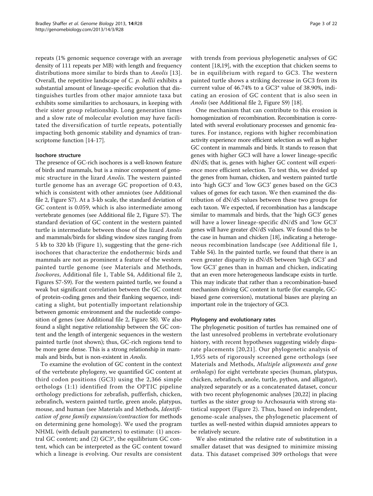repeats (1% genomic sequence coverage with an average density of 111 repeats per MB) with length and frequency distributions more similar to birds than to Anolis [[13](#page-20-0)]. Overall, the repetitive landscape of C. p. bellii exhibits a substantial amount of lineage-specific evolution that distinguishes turtles from other major amniote taxa but exhibits some similarities to archosaurs, in keeping with their sister group relationship. Long generation times and a slow rate of molecular evolution may have facilitated the diversification of turtle repeats, potentially impacting both genomic stability and dynamics of transcriptome function [[14](#page-20-0)-[17\]](#page-20-0).

### Isochore structure

The presence of GC-rich isochores is a well-known feature of birds and mammals, but is a minor component of genomic structure in the lizard Anolis. The western painted turtle genome has an average GC proportion of 0.43, which is consistent with other amniotes (see Additional file [2](#page-19-0), Figure S7). At a 3-kb scale, the standard deviation of GC content is 0.059, which is also intermediate among vertebrate genomes (see Additional file [2,](#page-19-0) Figure S7). The standard deviation of GC content in the western painted turtle is intermediate between those of the lizard Anolis and mammals/birds for sliding window sizes ranging from 5 kb to 320 kb (Figure [1](#page-4-0)), suggesting that the gene-rich isochores that characterize the endothermic birds and mammals are not as prominent a feature of the western painted turtle genome (see Materials and Methods, Isochores, Additional file [1](#page-19-0), Table S4, Additional file [2](#page-19-0), Figures S7-S9). For the western painted turtle, we found a weak but significant correlation between the GC content of protein-coding genes and their flanking sequence, indicating a slight, but potentially important relationship between genomic environment and the nucleotide composition of genes (see Additional file [2,](#page-19-0) Figure S8). We also found a slight negative relationship between the GC content and the length of intergenic sequences in the western painted turtle (not shown); thus, GC-rich regions tend to be more gene dense. This is a strong relationship in mammals and birds, but is non-existent in Anolis.

To examine the evolution of GC content in the context of the vertebrate phylogeny, we quantified GC content at third codon positions (GC3) using the 2,366 simple orthologs (1:1) identified from the OPTIC pipeline orthology predictions for zebrafish, pufferfish, chicken, zebrafinch, western painted turtle, green anole, platypus, mouse, and human (see Materials and Methods, *Identifi*cation of gene family expansion/contraction for methods on determining gene homology). We used the program NHML (with default parameters) to estimate: (1) ancestral GC content; and (2) GC3\*, the equilibrium GC content, which can be interpreted as the GC content toward which a lineage is evolving. Our results are consistent with trends from previous phylogenetic analyses of GC content [[18](#page-20-0),[19](#page-20-0)], with the exception that chicken seems to be in equilibrium with regard to GC3. The western painted turtle shows a striking decrease in GC3 from its current value of 46.74% to a GC3\* value of 38.90%, indicating an erosion of GC content that is also seen in Anolis (see Additional file [2,](#page-19-0) Figure S9) [[18\]](#page-20-0).

One mechanism that can contribute to this erosion is homogenization of recombination. Recombination is correlated with several evolutionary processes and genomic features. For instance, regions with higher recombination activity experience more efficient selection as well as higher GC content in mammals and birds. It stands to reason that genes with higher GC3 will have a lower lineage-specific dN/dS; that is, genes with higher GC content will experience more efficient selection. To test this, we divided up the genes from human, chicken, and western painted turtle into 'high GC3' and 'low GC3' genes based on the GC3 values of genes for each taxon. We then examined the distribution of dN/dS values between these two groups for each taxon. We expected, if recombination has a landscape similar to mammals and birds, that the 'high GC3' genes will have a lower lineage-specific dN/dS and 'low GC3' genes will have greater dN/dS values. We found this to be the case in human and chicken [\[18\]](#page-20-0), indicating a heterogeneous recombination landscape (see Additional file [1](#page-19-0), Table S4). In the painted turtle, we found that there is an even greater disparity in dN/dS between 'high GC3' and 'low GC3' genes than in human and chicken, indicating that an even more heterogeneous landscape exists in turtle. This may indicate that rather than a recombination-based mechanism driving GC content in turtle (for example, GCbiased gene conversion), mutational biases are playing an important role in the trajectory of GC3.

### Phylogeny and evolutionary rates

The phylogenetic position of turtles has remained one of the last unresolved problems in vertebrate evolutionary history, with recent hypotheses suggesting widely disparate placements [[20](#page-20-0),[21](#page-20-0)]. Our phylogenetic analysis of 1,955 sets of rigorously screened gene orthologs (see Materials and Methods, Multiple alignments and gene orthologs) for eight vertebrate species (human, platypus, chicken, zebrafinch, anole, turtle, python, and alligator), analyzed separately or as a concatenated dataset, concur with two recent phylogenomic analyses [[20,22\]](#page-20-0) in placing turtles as the sister group to Archosauria with strong statistical support (Figure [2\)](#page-5-0). Thus, based on independent, genome-scale analyses, the phylogenetic placement of turtles as well-nested within diapsid amniotes appears to be relatively secure.

We also estimated the relative rate of substitution in a smaller dataset that was designed to minimize missing data. This dataset comprised 309 orthologs that were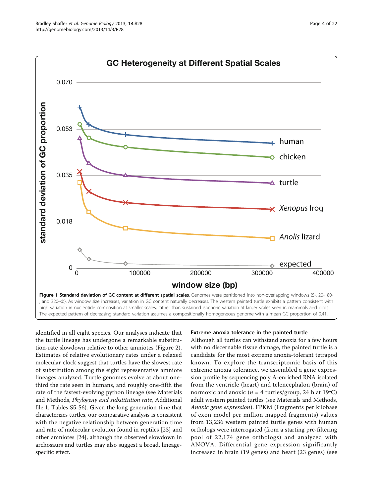<span id="page-4-0"></span>

identified in all eight species. Our analyses indicate that the turtle lineage has undergone a remarkable substitution-rate slowdown relative to other amniotes (Figure [2](#page-5-0)). Estimates of relative evolutionary rates under a relaxed molecular clock suggest that turtles have the slowest rate of substitution among the eight representative amniote lineages analyzed. Turtle genomes evolve at about onethird the rate seen in humans, and roughly one-fifth the rate of the fastest-evolving python lineage (see Materials and Methods, Phylogeny and substitution rate, Additional file [1,](#page-19-0) Tables S5-S6). Given the long generation time that characterizes turtles, our comparative analysis is consistent with the negative relationship between generation time and rate of molecular evolution found in reptiles [[23\]](#page-20-0) and other amniotes [\[24\]](#page-20-0), although the observed slowdown in archosaurs and turtles may also suggest a broad, lineagespecific effect.

### Extreme anoxia tolerance in the painted turtle

Although all turtles can withstand anoxia for a few hours with no discernable tissue damage, the painted turtle is a candidate for the most extreme anoxia-tolerant tetrapod known. To explore the transcriptomic basis of this extreme anoxia tolerance, we assembled a gene expression profile by sequencing poly A-enriched RNA isolated from the ventricle (heart) and telencephalon (brain) of normoxic and anoxic ( $n = 4$  turtles/group, 24 h at 19 °C) adult western painted turtles (see Materials and Methods, Anoxic gene expression). FPKM (Fragments per kilobase of exon model per million mapped fragments) values from 13,236 western painted turtle genes with human orthologs were interrogated (from a starting pre-filtering pool of 22,174 gene orthologs) and analyzed with ANOVA. Differential gene expression significantly increased in brain (19 genes) and heart (23 genes) (see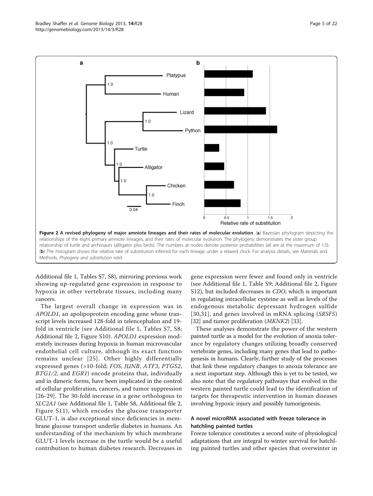<span id="page-5-0"></span>

Additional file [1,](#page-19-0) Tables S7, S8), mirroring previous work showing up-regulated gene expression in response to hypoxia in other vertebrate tissues, including many cancers.

The largest overall change in expression was in APOLD1, an apolipoprotein encoding gene whose transcript levels increased 128-fold in telencephalon and 19 fold in ventricle (see Additional file [1](#page-19-0), Tables S7, S8; Additional file [2](#page-19-0), Figure S10). APOLD1 expression moderately increases during hypoxia in human microvascular endothelial cell culture, although its exact function remains unclear [[25](#page-20-0)]. Other highly differentially expressed genes (>10-fold; FOS, JUNB, ATF3, PTGS2, BTG1/2, and EGR1) encode proteins that, individually and in dimeric forms, have been implicated in the control of cellular proliferation, cancers, and tumor suppression [[26](#page-20-0)-[29\]](#page-20-0). The 30-fold increase in a gene orthologous to SLC2A1 (see Additional file [1,](#page-19-0) Table S8, Additional file [2](#page-19-0), Figure S11), which encodes the glucose transporter GLUT-1, is also exceptional since deficiencies in membrane glucose transport underlie diabetes in humans. An understanding of the mechanism by which membrane GLUT-1 levels increase in the turtle would be a useful contribution to human diabetes research. Decreases in

gene expression were fewer and found only in ventricle (see Additional file [1,](#page-19-0) Table S9; Additional file [2](#page-19-0), Figure S12), but included decreases in CDO, which is important in regulating intracellular cysteine as well as levels of the endogenous metabolic depressant hydrogen sulfide [[30](#page-20-0),[31](#page-20-0)], and genes involved in mRNA splicing (SRSF5) [[32\]](#page-20-0) and tumor proliferation (*MKNK2*) [\[33](#page-20-0)].

These analyses demonstrate the power of the western painted turtle as a model for the evolution of anoxia tolerance by regulatory changes utilizing broadly conserved vertebrate genes, including many genes that lead to pathogenesis in humans. Clearly, further study of the processes that link these regulatory changes to anoxia tolerance are a next important step. Although this is yet to be tested, we also note that the regulatory pathways that evolved in the western painted turtle could lead to the identification of targets for therapeutic intervention in human diseases involving hypoxic injury and possibly tumorigenesis.

# A novel microRNA associated with freeze tolerance in hatchling painted turtles

Freeze tolerance constitutes a second suite of physiological adaptations that are integral to winter survival for hatchling painted turtles and other species that overwinter in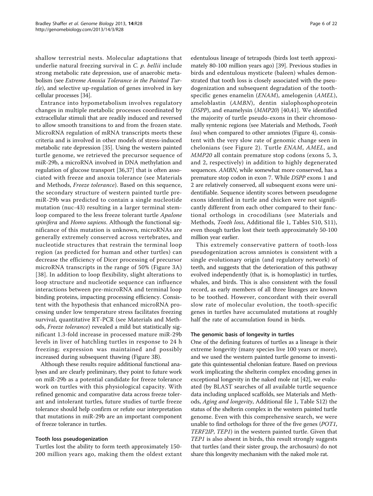shallow terrestrial nests. Molecular adaptations that underlie natural freezing survival in C. p. bellii include strong metabolic rate depression, use of anaerobic metabolism (see Extreme Anoxia Tolerance in the Painted Turtle), and selective up-regulation of genes involved in key cellular processes [[34](#page-20-0)].

Entrance into hypometabolism involves regulatory changes in multiple metabolic processes coordinated by extracellular stimuli that are readily induced and reversed to allow smooth transitions to and from the frozen state. MicroRNA regulation of mRNA transcripts meets these criteria and is involved in other models of stress-induced metabolic rate depression [[35](#page-20-0)]. Using the western painted turtle genome, we retrieved the precursor sequence of miR-29b, a microRNA involved in DNA methylation and regulation of glucose transport [\[36](#page-20-0),[37](#page-20-0)] that is often associated with freeze and anoxia tolerance (see Materials and Methods, Freeze tolerance). Based on this sequence, the secondary structure of western painted turtle premiR-29b was predicted to contain a single nucleotide mutation (nuc-43) resulting in a larger terminal stemloop compared to the less freeze tolerant turtle *Apalone* spinifera and Homo sapiens. Although the functional significance of this mutation is unknown, microRNAs are generally extremely conserved across vertebrates, and nucleotide structures that restrain the terminal loop region (as predicted for human and other turtles) can decrease the efficiency of Dicer processing of precursor microRNA transcripts in the range of 50% (Figure [3A](#page-7-0)) [[38](#page-20-0)]. In addition to loop flexibility, slight alterations to loop structure and nucleotide sequence can influence interactions between pre-microRNA and terminal loop binding proteins, impacting processing efficiency. Consistent with the hypothesis that enhanced microRNA processing under low temperature stress facilitates freezing survival, quantitative RT-PCR (see Materials and Methods, Freeze tolerance) revealed a mild but statistically significant 1.3-fold increase in processed mature miR-29b levels in liver of hatchling turtles in response to 24 h freezing; expression was maintained and possibly increased during subsequent thawing (Figure [3B\)](#page-7-0).

Although these results require additional functional analyses and are clearly preliminary, they point to future work on miR-29b as a potential candidate for freeze tolerance work on turtles with this physiological capacity. With refined genomic and comparative data across freeze tolerant and intolerant turtles, future studies of turtle freeze tolerance should help confirm or refute our interpretation that mutations in miR-29b are an important component of freeze tolerance in turtles.

### Tooth loss pseudogenization

Turtles lost the ability to form teeth approximately 150- 200 million years ago, making them the oldest extant

edentulous lineage of tetrapods (birds lost teeth approximately 80-100 million years ago) [\[39\]](#page-20-0). Previous studies in birds and edentulous mysticete (baleen) whales demonstrated that tooth loss is closely associated with the pseudogenization and subsequent degradation of the toothspecific genes enamelin (ENAM), amelogenin (AMEL), ameloblastin (AMBN), dentin sialophosphoprotein (DSPP), and enamelysin (MMP20) [\[40,41](#page-20-0)]. We identified the majority of turtle pseudo-exons in their chromosomally syntenic regions (see Materials and Methods, Tooth loss) when compared to other amniotes (Figure [4](#page-8-0)), consistent with the very slow rate of genomic change seen in chelonians (see Figure [2\)](#page-5-0). Turtle ENAM, AMEL, and MMP20 all contain premature stop codons (exons 5, 3, and 2, respectively) in addition to highly degenerated sequences. AMBN, while somewhat more conserved, has a premature stop codon in exon 7. While DSPP exons 1 and 2 are relatively conserved, all subsequent exons were unidentifiable. Sequence identity scores between pseudogene exons identified in turtle and chicken were not significantly different from each other compared to their functional orthologs in crocodilians (see Materials and Methods, Tooth loss, Additional file [1](#page-19-0), Tables S10, S11), even though turtles lost their teeth approximately 50-100 million year earlier.

This extremely conservative pattern of tooth-loss pseudogenization across amniotes is consistent with a single evolutionary origin (and regulatory network) of teeth, and suggests that the deterioration of this pathway evolved independently (that is, is homoplastic) in turtles, whales, and birds. This is also consistent with the fossil record, as early members of all three lineages are known to be toothed. However, concordant with their overall slow rate of molecular evolution, the tooth-specific genes in turtles have accumulated mutations at roughly half the rate of accumulation found in birds.

# The genomic basis of longevity in turtles

One of the defining features of turtles as a lineage is their extreme longevity (many species live 100 years or more), and we used the western painted turtle genome to investigate this quintessential chelonian feature. Based on previous work implicating the shelterin complex encoding genes in exceptional longevity in the naked mole rat [\[42\]](#page-20-0), we evaluated (by BLAST searches of all available turtle sequence data including unplaced scaffolds, see Materials and Methods, Aging and longevity, Additional file [1](#page-19-0), Table S12) the status of the shelterin complex in the western painted turtle genome. Even with this comprehensive search, we were unable to find orthologs for three of the five genes (POT1, TERF2IP, TEP1) in the western painted turtle. Given that TEP1 is also absent in birds, this result strongly suggests that turtles (and their sister group, the archosaurs) do not share this longevity mechanism with the naked mole rat.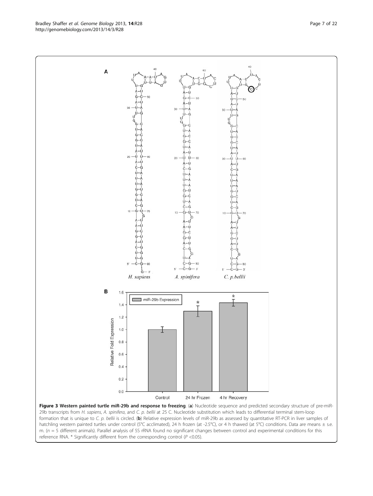<span id="page-7-0"></span>Bradley Shaffer et al. Genome Biology 2013, 14:R28 http://genomebiology.com/2013/14/3/R28



reference RNA.  $*$  Significantly different from the corresponding control ( $P$  <0.05).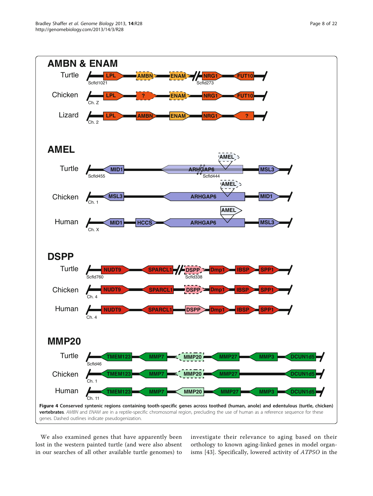<span id="page-8-0"></span>

We also examined genes that have apparently been lost in the western painted turtle (and were also absent in our searches of all other available turtle genomes) to investigate their relevance to aging based on their orthology to known aging-linked genes in model organisms [[43\]](#page-20-0). Specifically, lowered activity of ATP5O in the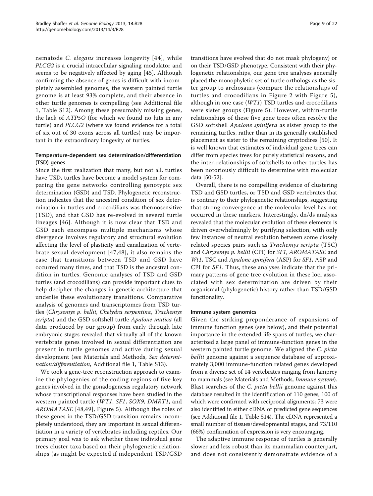nematode C. elegans increases longevity [[44](#page-20-0)], while PLCG2 is a crucial intracellular signaling modulator and seems to be negatively affected by aging [[45\]](#page-20-0). Although confirming the absence of genes is difficult with incompletely assembled genomes, the western painted turtle genome is at least 93% complete, and their absence in other turtle genomes is compelling (see Additional file [1,](#page-19-0) Table S12). Among these presumably missing genes, the lack of ATP5O (for which we found no hits in any turtle) and PLCG2 (where we found evidence for a total of six out of 30 exons across all turtles) may be important in the extraordinary longevity of turtles.

# Temperature-dependent sex determination/differentiation (TSD) genes

Since the first realization that many, but not all, turtles have TSD, turtles have become a model system for comparing the gene networks controlling genotypic sex determination (GSD) and TSD. Phylogenetic reconstruction indicates that the ancestral condition of sex determination in turtles and crocodilians was thermosensitive (TSD), and that GSD has re-evolved in several turtle lineages [[46](#page-20-0)]. Although it is now clear that TSD and GSD each encompass multiple mechanisms whose divergence involves regulatory and structural evolution affecting the level of plasticity and canalization of vertebrate sexual development [[47](#page-20-0),[48](#page-20-0)], it also remains the case that transitions between TSD and GSD have occurred many times, and that TSD is the ancestral condition in turtles. Genomic analyses of TSD and GSD turtles (and crocodilians) can provide important clues to help decipher the changes in genetic architecture that underlie these evolutionary transitions. Comparative analysis of genomes and transcriptomes from TSD turtles (Chrysemys p. bellii, Chelydra serpentina, Trachemys scripta) and the GSD softshell turtle Apalone mutica (all data produced by our group) from early through late embryonic stages revealed that virtually all of the known vertebrate genes involved in sexual differentiation are present in turtle genomes and active during sexual development (see Materials and Methods, Sex determination/differentiation, Additional file [1,](#page-19-0) Table S13).

We took a gene-tree reconstruction approach to examine the phylogenies of the coding regions of five key genes involved in the gonadogenesis regulatory network whose transcriptional responses have been studied in the western painted turtle (WT1, SF1, SOX9, DMRT1, and AROMATASE [[48](#page-20-0),[49](#page-20-0)], Figure [5](#page-10-0)). Although the roles of these genes in the TSD/GSD transition remains incompletely understood, they are important in sexual differentiation in a variety of vertebrates including reptiles. Our primary goal was to ask whether these individual gene trees cluster taxa based on their phylogenetic relationships (as might be expected if independent TSD/GSD

transitions have evolved that do not mask phylogeny) or on their TSD/GSD phenotype. Consistent with their phylogenetic relationships, our gene tree analyses generally placed the monophyletic set of turtle orthologs as the sister group to archosaurs (compare the relationships of turtles and crocodilians in Figure [2](#page-5-0) with Figure [5\)](#page-10-0), although in one case (WT1) TSD turtles and crocodilians were sister groups (Figure [5](#page-10-0)). However, within-turtle relationships of these five gene trees often resolve the GSD softshell Apalone spinifera as sister group to the remaining turtles, rather than in its generally established placement as sister to the remaining cryptodires [\[50\]](#page-20-0). It is well known that estimates of individual gene trees can differ from species trees for purely statistical reasons, and the inter-relationships of softshells to other turtles has been notoriously difficult to determine with molecular data [[50](#page-20-0)[-52\]](#page-21-0).

Overall, there is no compelling evidence of clustering TSD and GSD turtles, or TSD and GSD vertebrates that is contrary to their phylogenetic relationships, suggesting that strong convergence at the molecular level has not occurred in these markers. Interestingly, dn/ds analysis revealed that the molecular evolution of these elements is driven overwhelmingly by purifying selection, with only few instances of neutral evolution between some closely related species pairs such as Trachemys scripta (TSC) and Chrysemys p. bellii (CPI) for SF1, AROMATASE and Wt1, TSC and Apalone spinifera (ASP) for SF1, ASP and CPI for SF1. Thus, these analyses indicate that the primary patterns of gene tree evolution in these loci associated with sex determination are driven by their organismal (phylogenetic) history rather than TSD/GSD functionality.

### Immune system genomics

Given the striking preponderance of expansions of immune function genes (see below), and their potential importance in the extended life spans of turtles, we characterized a large panel of immune-function genes in the western painted turtle genome. We aligned the C. picta bellii genome against a sequence database of approximately 3,000 immune-function related genes developed from a diverse set of 14 vertebrates ranging from lamprey to mammals (see Materials and Methods, Immune system). Blast searches of the C. picta bellii genome against this database resulted in the identification of 110 genes, 100 of which were confirmed with reciprocal alignments; 73 were also identified in either cDNA or predicted gene sequences (see Additional file [1,](#page-19-0) Table S14). The cDNA represented a small number of tissues/developmental stages, and 73/110 (66%) confirmation of expression is very encouraging.

The adaptive immune response of turtles is generally slower and less robust than its mammalian counterpart, and does not consistently demonstrate evidence of a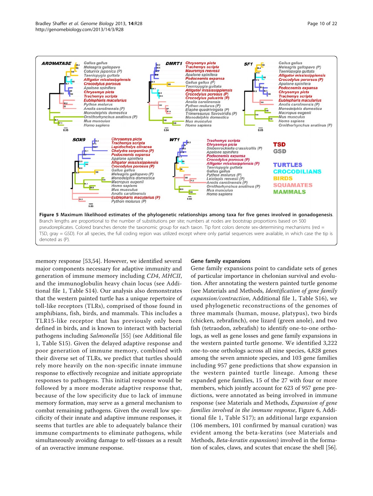<span id="page-10-0"></span>

memory response [\[53](#page-21-0),[54](#page-21-0)]. However, we identified several major components necessary for adaptive immunity and generation of immune memory including CD4, MHCII, and the immunoglobulin heavy chain locus (see Additional file [1](#page-19-0), Table S14). Our analysis also demonstrates that the western painted turtle has a unique repertoire of toll-like receptors (TLRs), comprised of those found in amphibians, fish, birds, and mammals. This includes a TLR15-like receptor that has previously only been defined in birds, and is known to interact with bacterial pathogens including Salmonella [[55\]](#page-21-0) (see Additional file [1,](#page-19-0) Table S15). Given the delayed adaptive response and poor generation of immune memory, combined with their diverse set of TLRs, we predict that turtles should rely more heavily on the non-specific innate immune response to effectively recognize and initiate appropriate responses to pathogens. This initial response would be followed by a more moderate adaptive response that, because of the low specificity due to lack of immune memory formation, may serve as a general mechanism to combat remaining pathogens. Given the overall low specificity of their innate and adaptive immune responses, it seems that turtles are able to adequately balance their immune compartments to eliminate pathogens, while simultaneously avoiding damage to self-tissues as a result of an overactive immune response.

### Gene family expansions

Gene family expansions point to candidate sets of genes of particular importance in chelonian survival and evolution. After annotating the western painted turtle genome (see Materials and Methods, Identification of gene family expansion/contraction, Additional file [1,](#page-19-0) Table S16), we used phylogenetic reconstructions of the genomes of three mammals (human, mouse, platypus), two birds (chicken, zebrafinch), one lizard (green anole), and two fish (tetraodon, zebrafish) to identify one-to-one orthologs, as well as gene losses and gene family expansions in the western painted turtle genome. We identified 3,222 one-to-one orthologs across all nine species, 4,828 genes among the seven amniote species, and 103 gene families including 957 gene predictions that show expansion in the western painted turtle lineage. Among these expanded gene families, 15 of the 27 with four or more members, which jointly account for 623 of 957 gene predictions, were annotated as being involved in immune response (see Materials and Methods, Expansion of gene families involved in the immune response, Figure [6](#page-11-0), Additional file [1](#page-19-0), Table S17); an additional large expansion (106 members, 101 confirmed by manual curation) was evident among the beta-keratins (see Materials and Methods, Beta-keratin expansions) involved in the formation of scales, claws, and scutes that encase the shell [[56](#page-21-0)].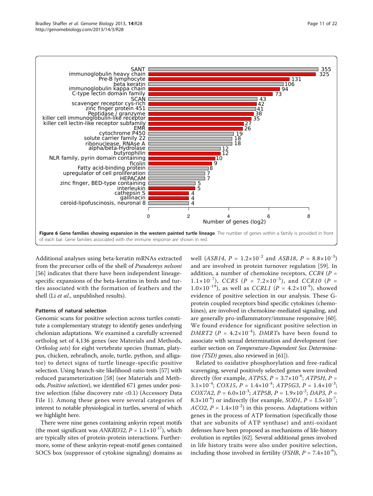<span id="page-11-0"></span>

Additional analyses using beta-keratin mRNAs extracted from the precursor cells of the shell of Pseudemys nelsoni [[56\]](#page-21-0) indicates that there have been independent lineagespecific expansions of the beta-keratins in birds and turtles associated with the formation of feathers and the shell (Li et al., unpublished results).

# Patterns of natural selection

Genomic scans for positive selection across turtles constitute a complementary strategy to identify genes underlying chelonian adaptations. We examined a carefully screened ortholog set of 4,136 genes (see Materials and Methods, Ortholog sets) for eight vertebrate species (human, platypus, chicken, zebrafinch, anole, turtle, python, and alligator) to detect signs of turtle lineage-specific positive selection. Using branch-site likelihood-ratio tests [\[57](#page-21-0)] with reduced parameterization [\[58](#page-21-0)] (see Materials and Methods, Positive selection), we identified 671 genes under positive selection (false discovery rate <0.1) (Accessory Data File 1). Among these genes were several categories of interest to notable physiological in turtles, several of which we highlight here.

There were nine genes containing ankyrin repeat motifs (the most significant was *ANKRD32*,  $P = 1.1 \times 10^{-17}$ ), which are typically sites of protein-protein interactions. Furthermore, some of these ankyrin-repeat-motif genes contained SOCS box (suppressor of cytokine signaling) domains as well (*ASB14*,  $P = 1.2 \times 10^{-2}$  and *ASB18*,  $P = 8.8 \times 10^{-3}$ ) and are involved in protein turnover regulation [[59\]](#page-21-0). In addition, a number of chemokine receptors,  $CCR4$  ( $P =$  $1.1 \times 10^{-7}$ ), CCR5 (P = 7.2×10<sup>-5</sup>), and CCR10 (P =  $1.0 \times 10^{-19}$ ), as well as *CCRL1* ( $P = 4.2 \times 10^{-9}$ ), showed evidence of positive selection in our analysis. These Gprotein coupled receptors bind specific cytokines (chemokines), are involved in chemokine-mediated signaling, and are generally pro-inflammatory/immune responsive [\[60](#page-21-0)]. We found evidence for significant positive selection in DMRT2 ( $P = 4.2 \times 10^{-4}$ ). DMRTs have been found to associate with sexual determination and development (see earlier section on Temperature-Dependent Sex Determina-tion (TSD) genes, also reviewed in [[61](#page-21-0)]).

Related to oxidative phosphorylation and free-radical scavenging, several positively selected genes were involved directly (for example, ATP5S,  $P = 3.7 \times 10^{-6}$ ; ATP5H,  $P =$ 3.1×10<sup>-4</sup>; COX15, P = 1.4×10<sup>-4</sup>; ATP5G3, P = 1.4×10<sup>-3</sup>; COX7A2,  $P = 6.0 \times 10^{-3}$ ; ATP5B,  $P = 1.9 \times 10^{-2}$ ; DAP3,  $P =$ 8.3×10<sup>-6</sup>) or indirectly (for example, *SOD1*,  $P = 1.5 \times 10^{-7}$ ;  $ACO2$ ,  $P = 1.4 \times 10^{-2}$ ) in this process. Adaptations within genes in the process of ATP formation (specifically those that are subunits of ATP synthase) and anti-oxidant defenses have been proposed as mechanisms of life-history evolution in reptiles [[62](#page-21-0)]. Several additional genes involved in life history traits were also under positive selection, including those involved in fertility (*FSHB*,  $P = 7.4 \times 10^{-6}$ ),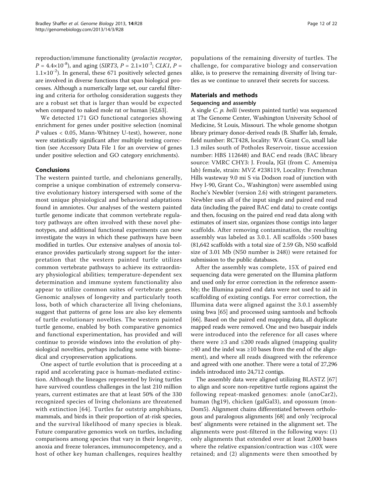reproduction/immune functionality (prolactin receptor,  $P = 4.4 \times 10^{-8}$ ), and aging (SIRT3,  $P = 2.1 \times 10^{-3}$ ; CLK1,  $P =$  $1.1\times10^{-2}$ ). In general, these 671 positively selected genes are involved in diverse functions that span biological processes. Although a numerically large set, our careful filtering and criteria for ortholog consideration suggests they are a robust set that is larger than would be expected when compared to naked mole rat or human [[42](#page-20-0)[,63\]](#page-21-0).

We detected 171 GO functional categories showing enrichment for genes under positive selection (nominal P values < 0.05, Mann-Whitney U-test), however, none were statistically significant after multiple testing correction (see Accessory Data File 1 for an overview of genes under positive selection and GO category enrichments).

# Conclusions

The western painted turtle, and chelonians generally, comprise a unique combination of extremely conservative evolutionary history interspersed with some of the most unique physiological and behavioral adaptations found in amniotes. Our analyses of the western painted turtle genome indicate that common vertebrate regulatory pathways are often involved with these novel phenotypes, and additional functional experiments can now investigate the ways in which these pathways have been modified in turtles. Our extensive analyses of anoxia tolerance provides particularly strong support for the interpretation that the western painted turtle utilizes common vertebrate pathways to achieve its extraordinary physiological abilities; temperature-dependent sex determination and immune system functionality also appear to utilize common suites of vertebrate genes. Genomic analyses of longevity and particularly tooth loss, both of which characterize all living chelonians, suggest that patterns of gene loss are also key elements of turtle evolutionary novelties. The western painted turtle genome, enabled by both comparative genomics and functional experimentation, has provided and will continue to provide windows into the evolution of physiological novelties, perhaps including some with biomedical and cryopreservation applications.

One aspect of turtle evolution that is proceeding at a rapid and accelerating pace is human-mediated extinction. Although the lineages represented by living turtles have survived countless challenges in the last 210 million years, current estimates are that at least 50% of the 330 recognized species of living chelonians are threatened with extinction [[64\]](#page-21-0). Turtles far outstrip amphibians, mammals, and birds in their proportion of at-risk species, and the survival likelihood of many species is bleak. Future comparative genomics work on turtles, including comparisons among species that vary in their longevity, anoxia and freeze tolerances, immunocompetency, and a host of other key human challenges, requires healthy populations of the remaining diversity of turtles. The challenge, for comparative biology and conservation alike, is to preserve the remaining diversity of living turtles as we continue to unravel their secrets for success.

# Materials and methods

# Sequencing and assembly

A single C. p. belli (western painted turtle) was sequenced at The Genome Center, Washington University School of Medicine, St Louis, Missouri. The whole genome shotgun library primary donor-derived reads (B. Shaffer lab, female, field number: RCT428, locality: WA Grant Co, small lake 1.3 miles south of Potholes Reservoir, tissue accession number: HBS 112648) and BAC end reads (BAC library source: VMRC CHY3: J. Froula, JGI (from C. Amemiya lab) female, strain: MVZ #238119, Locality: Frenchman Hills wasteway 9.0 mi S via Dodson road of junction with Hwy I-90, Grant Co., Washington) were assembled using Roche's Newbler (version 2.6) with stringent parameters. Newbler uses all of the input single and paired end read data (including the paired BAC end data) to create contigs and then, focusing on the paired end read data along with estimates of insert size, organizes those contigs into larger scaffolds. After removing contamination, the resulting assembly was labeled as 3.0.1. All scaffolds >500 bases (81,642 scaffolds with a total size of 2.59 Gb, N50 scaffold size of 3.01 Mb (N50 number is 248)) were retained for submission to the public databases.

After the assembly was complete, 15X of paired end sequencing data were generated on the Illumina platform and used only for error correction in the reference assembly; the Illumina paired end data were not used to aid in scaffolding of existing contigs. For error correction, the Illumina data were aligned against the 3.0.1 assembly using bwa [\[65\]](#page-21-0) and processed using samtools and bcftools [[66\]](#page-21-0). Based on the paired end mapping data, all duplicate mapped reads were removed. One and two basepair indels were introduced into the reference for all cases where there were  $\geq$ 3 and  $\leq$ 200 reads aligned (mapping quality ≥40 and the indel was ≥10 bases from the end of the alignment), and where all reads disagreed with the reference and agreed with one another. There were a total of 27,296 indels introduced into 24,712 contigs.

The assembly data were aligned utilizing BLASTZ [[67](#page-21-0)] to align and score non-repetitive turtle regions against the following repeat-masked genomes: anole (anoCar2), human (hg19), chicken (galGal3), and opossum (mon-Dom5). Alignment chains differentiated between orthologous and paralogous alignments [\[68\]](#page-21-0) and only 'reciprocal best' alignments were retained in the alignment set. The alignments were post-filtered in the following ways: (1) only alignments that extended over at least 2,000 bases where the relative expansion/contraction was <10X were retained; and (2) alignments were then smoothed by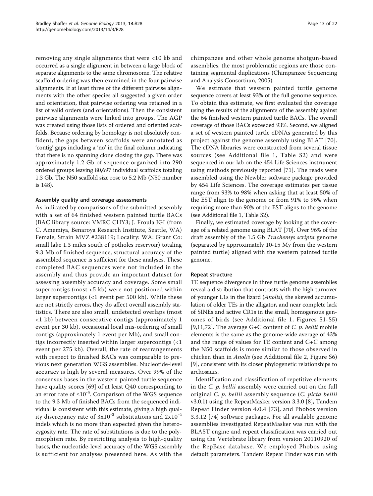removing any single alignments that were <10 kb and occurred as a single alignment in between a large block of separate alignments to the same chromosome. The relative scaffold ordering was then examined in the four pairwise alignments. If at least three of the different pairwise alignments with the other species all suggested a given order and orientation, that pairwise ordering was retained in a list of valid orders (and orientations). Then the consistent pairwise alignments were linked into groups. The AGP was created using those lists of ordered and oriented scaffolds. Because ordering by homology is not absolutely confident, the gaps between scaffolds were annotated as 'contig' gaps including a 'no' in the final column indicating that there is no spanning clone closing the gap. There was approximately 1.2 Gb of sequence organized into 290 ordered groups leaving 80,697 individual scaffolds totaling 1.3 Gb. The N50 scaffold size rose to 5.2 Mb (N50 number is 148).

# Assembly quality and coverage assessments

As indicated by comparisons of the submitted assembly with a set of 64 finished western painted turtle BACs (BAC library source: VMRC CHY3; J. Froula JGI (from C. Amemiya, Benaroya Research Institute, Seattle, WA) Female; Strain MVZ #238119; Locality: WA: Grant Co: small lake 1.3 miles south of potholes reservoir) totaling 9.3 Mb of finished sequence, structural accuracy of the assembled sequence is sufficient for these analyses. These completed BAC sequences were not included in the assembly and thus provide an important dataset for assessing assembly accuracy and coverage. Some small supercontigs (most <5 kb) were not positioned within larger supercontigs (<1 event per 500 kb). While these are not strictly errors, they do affect overall assembly statistics. There are also small, undetected overlaps (most <1 kb) between consecutive contigs (approximately 1 event per 30 kb), occasional local mis-ordering of small contigs (approximately 1 event per Mb), and small contigs incorrectly inserted within larger supercontigs (<1 event per 275 kb). Overall, the rate of rearrangements with respect to finished BACs was comparable to previous next generation WGS assemblies. Nucleotide-level accuracy is high by several measures. Over 99% of the consensus bases in the western painted turtle sequence have quality scores [[69\]](#page-21-0) of at least Q40 corresponding to an error rate of  $\leq 10^{-4}$ . Comparison of the WGS sequence to the 9.3 Mb of finished BACs from the sequenced individual is consistent with this estimate, giving a high quality discrepancy rate of  $3x10^{-3}$  substitutions and  $2x10^{-4}$ indels which is no more than expected given the heterozygosity rate. The rate of substitutions is due to the polymorphism rate. By restricting analysis to high-quality bases, the nucleotide-level accuracy of the WGS assembly is sufficient for analyses presented here. As with the chimpanzee and other whole genome shotgun-based assemblies, the most problematic regions are those containing segmental duplications (Chimpanzee Sequencing and Analysis Consortium, 2005).

We estimate that western painted turtle genome sequence covers at least 93% of the full genome sequence. To obtain this estimate, we first evaluated the coverage using the results of the alignments of the assembly against the 64 finished western painted turtle BACs. The overall coverage of those BACs exceeded 93%. Second, we aligned a set of western painted turtle cDNAs generated by this project against the genome assembly using BLAT [[70](#page-21-0)]. The cDNA libraries were constructed from several tissue sources (see Additional file [1](#page-19-0), Table S2) and were sequenced in our lab on the 454 Life Sciences instrument using methods previously reported [[71\]](#page-21-0). The reads were assembled using the Newbler software package provided by 454 Life Sciences. The coverage estimates per tissue range from 93% to 98% when asking that at least 50% of the EST align to the genome or from 91% to 96% when requiring more than 90% of the EST aligns to the genome (see Additional file [1,](#page-19-0) Table S2).

Finally, we estimated coverage by looking at the coverage of a related genome using BLAT [\[70\]](#page-21-0). Over 96% of the draft assembly of the 1.5 Gb Trachemys scripta genome (separated by approximately 10-15 My from the western painted turtle) aligned with the western painted turtle genome.

### Repeat structure

TE sequence divergence in three turtle genome assemblies reveal a distribution that contrasts with the high turnover of younger L1s in the lizard (Anolis), the skewed accumulation of older TEs in the alligator, and near complete lack of SINEs and active CR1s in the small, homogenous genomes of birds (see Additional file [1](#page-19-0), Figures S1-S5) [[9,11,](#page-20-0)[72\]](#page-21-0). The average  $G+C$  content of C. p. bellii mobile elements is the same as the genome-wide average of 43% and the range of values for TE content and G+C among the N50 scaffolds is more similar to those observed in chicken than in Anolis (see Additional file [2](#page-19-0), Figure S6) [[9\]](#page-20-0), consistent with its closer phylogenetic relationships to archosaurs.

Identification and classification of repetitive elements in the C. p. bellii assembly were carried out on the full original C. p. bellii assembly sequence (C. picta bellii v3.0.1) using the RepeatMasker version 3.3.0 [[8](#page-20-0)], Tandem Repeat Finder version 4.0.4 [[73\]](#page-21-0), and Phobos version 3.3.12 [\[74\]](#page-21-0) software packages. For all available genome assemblies investigated RepeatMasker was run with the BLAST engine and repeat classification was carried out using the Vertebrate library from version 20110920 of the RepBase database. We employed Phobos using default parameters. Tandem Repeat Finder was run with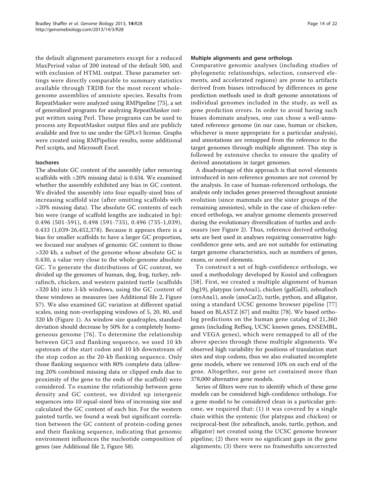the default alignment parameters except for a reduced MaxPeriod value of 200 instead of the default 500, and with exclusion of HTML output. These parameter settings were directly comparable to summary statistics available through TRDB for the most recent wholegenome assemblies of amniote species. Results from RepeatMasker were analyzed using RMPipeline [\[75](#page-21-0)], a set of generalized programs for analyzing RepeatMasker output written using Perl. These programs can be used to process any RepeatMasker output files and are publicly available and free to use under the GPLv3 license. Graphs were created using RMPipeline results, some additional Perl scripts, and Microsoft Excel.

### Isochores

The absolute GC content of the assembly (after removing scaffolds with >20% missing data) is 0.434. We examined whether the assembly exhibited any bias in GC content. We divided the assembly into four equally-sized bins of increasing scaffold size (after omitting scaffolds with >20% missing data). The absolute GC contents of each bin were (range of scaffold lengths are indicated in bp): 0.496 (501-591), 0.498 (591-735), 0.496 (735-1,039), 0.433 (1,039-26,452,378). Because it appears there is a bias for smaller scaffolds to have a larger GC proportion, we focused our analyses of genomic GC content to those >320 kb, a subset of the genome whose absolute GC is 0.430, a value very close to the whole-genome absolute GC. To generate the distributions of GC content, we divided up the genomes of human, dog, frog, turkey, zebrafinch, chicken, and western painted turtle (scaffolds >320 kb) into 3-kb windows, using the GC content of these windows as measures (see Additional file [2](#page-19-0), Figure S7). We also examined GC variation at different spatial scales, using non-overlapping windows of 5, 20, 80, and 320 kb (Figure [1\)](#page-4-0). As window size quadruples, standard deviation should decrease by 50% for a completely homogeneous genome [[76\]](#page-21-0). To determine the relationship between GC3 and flanking sequence, we used 10 kb upstream of the start codon and 10 kb downstream of the stop codon as the 20-kb flanking sequence. Only those flanking sequence with 80% complete data (allowing 20% combined missing data or clipped ends due to proximity of the gene to the ends of the scaffold) were considered. To examine the relationship between gene density and GC content, we divided up intergenic sequences into 10 equal-sized bins of increasing size and calculated the GC content of each bin. For the western painted turtle, we found a weak but significant correlation between the GC content of protein-coding genes and their flanking sequence, indicating that genomic environment influences the nucleotide composition of genes (see Additional file [2,](#page-19-0) Figure S8).

#### Multiple alignments and gene orthologs

Comparative genomic analyses (including studies of phylogenetic relationships, selection, conserved elements, and accelerated regions) are prone to artifacts derived from biases introduced by differences in gene prediction methods used in draft genome annotations of individual genomes included in the study, as well as gene prediction errors. In order to avoid having such biases dominate analyses, one can chose a well-annotated reference genome (in our case, human or chicken, whichever is more appropriate for a particular analysis), and annotations are remapped from the reference to the target genomes through multiple alignment. This step is followed by extensive checks to ensure the quality of derived annotations in target genomes.

A disadvantage of this approach is that novel elements introduced in non-reference genomes are not covered by the analysis. In case of human-referenced orthologs, the analysis only includes genes preserved throughout amniote evolution (since mammals are the sister groups of the remaining amniotes), while in the case of chicken-referenced orthologs, we analyze genome elements preserved during the evolutionary diversification of turtles and archosaurs (see Figure [2\)](#page-5-0). Thus, reference derived ortholog sets are best used in analyses requiring conservative highconfidence gene sets, and are not suitable for estimating target genome characteristics, such as numbers of genes, exons, or novel elements.

To construct a set of high-confidence orthologs, we used a methodology developed by Kosiol and colleagues [[58\]](#page-21-0). First, we created a multiple alignment of human (hg19), platypus (ornAna1), chicken (galGal3), zebrafinch (ornAna1), anole (anoCar2), turtle, python, and alligator, using a standard UCSC genome browser pipeline [[77](#page-21-0)] based on BLASTZ [[67\]](#page-21-0) and multiz [[78\]](#page-21-0). We based ortholog predictions on the human gene catalog of 21,360 genes (including RefSeq, UCSC known genes, ENSEMBL, and VEGA genes), which were remapped to all of the above species through these multiple alignments. We observed high variability for positions of translation start sites and stop codons, thus we also evaluated incomplete gene models, where we removed 10% on each end of the gene. Altogether, our gene set contained more than 378,000 alternative gene models.

Series of filters were run to identify which of these gene models can be considered high-confidence orthologs. For a gene model to be considered clean in a particular genome, we required that: (1) it was covered by a single chain within the syntenic (for platypus and chicken) or reciprocal-best (for zebrafinch, anole, turtle, python, and alligator) net created using the UCSC genome browser pipeline; (2) there were no significant gaps in the gene alignments; (3) there were no frameshifts uncorrected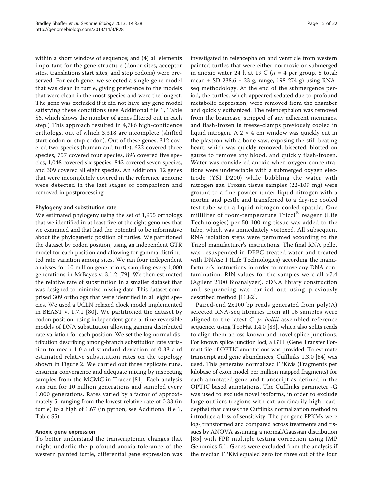within a short window of sequence; and (4) all elements important for the gene structure (donor sites, acceptor sites, translations start sites, and stop codons) were preserved. For each gene, we selected a single gene model that was clean in turtle, giving preference to the models that were clean in the most species and were the longest. The gene was excluded if it did not have any gene model satisfying these conditions (see Additional file [1](#page-19-0), Table S6, which shows the number of genes filtered out in each step.) This approach resulted in 4,786 high-confidence orthologs, out of which 3,318 are incomplete (shifted start codon or stop codon). Out of these genes, 312 covered two species (human and turtle), 622 covered three species, 757 covered four species, 896 covered five species, 1,048 covered six species, 842 covered seven species, and 309 covered all eight species. An additional 12 genes that were incompletely covered in the reference genome were detected in the last stages of comparison and removed in postprocessing.

# Phylogeny and substitution rate

We estimated phylogeny using the set of 1,955 orthologs that we identified in at least five of the eight genomes that we examined and that had the potential to be informative about the phylogenetic position of turtles. We partitioned the dataset by codon position, using an independent GTR model for each position and allowing for gamma-distributed rate variation among sites. We ran four independent analyses for 10 million generations, sampling every 1,000 generations in MrBayes v. 3.1.2 [\[79](#page-21-0)]. We then estimated the relative rate of substitution in a smaller dataset that was designed to minimize missing data. This dataset comprised 309 orthologs that were identified in all eight species. We used a UCLN relaxed clock model implemented in BEAST v. 1.7.1 [[80](#page-21-0)]. We partitioned the dataset by codon position, using independent general time reversible models of DNA substitution allowing gamma distributed rate variation for each position. We set the log normal distribution describing among-branch substitution rate variation to mean 1.0 and standard deviation of 0.33 and estimated relative substitution rates on the topology shown in Figure [2](#page-5-0). We carried out three replicate runs, ensuring convergence and adequate mixing by inspecting samples from the MCMC in Tracer [\[81\]](#page-21-0). Each analysis was run for 10 million generations and sampled every 1,000 generations. Rates varied by a factor of approximately 5, ranging from the lowest relative rate of 0.33 (in turtle) to a high of 1.67 (in python; see Additional file [1](#page-19-0), Table S5).

### Anoxic gene expression

To better understand the transcriptomic changes that might underlie the profound anoxia tolerance of the western painted turtle, differential gene expression was investigated in telencephalon and ventricle from western painted turtles that were either normoxic or submerged in anoxic water 24 h at 19°C ( $n = 4$  per group, 8 total; mean  $\pm$  SD 238.6  $\pm$  23 g, range, 198-274 g) using RNAseq methodology. At the end of the submergence period, the turtles, which appeared sedated due to profound metabolic depression, were removed from the chamber and quickly euthanized. The telencephalon was removed from the braincase, stripped of any adherent meninges, and flash-frozen in freeze-clamps previously cooled in liquid nitrogen. A  $2 \times 4$  cm window was quickly cut in the plastron with a bone saw, exposing the still-beating heart, which was quickly removed, bisected, blotted on gauze to remove any blood, and quickly flash-frozen. Water was considered anoxic when oxygen concentrations were undetectable with a submerged oxygen electrode (YSI D200) while bubbling the water with nitrogen gas. Frozen tissue samples (22-109 mg) were ground to a fine powder under liquid nitrogen with a mortar and pestle and transferred to a dry-ice cooled test tube with a liquid nitrogen-cooled spatula. One milliliter of room-temperature Trizol® reagent (Life Technologies) per 50-100 mg tissue was added to the tube, which was immediately vortexed. All subsequent RNA isolation steps were performed according to the Trizol manufacturer's instructions. The final RNA pellet was resuspended in DEPC-treated water and treated with DNAse I (Life Technologies) according the manufacturer's instructions in order to remove any DNA contamination. RIN values for the samples were all >7.4 (Agilent 2100 Bioanalyzer). cDNA library construction and sequencing was carried out using previously described method [\[11,](#page-20-0)[82\]](#page-21-0).

Paired-end 2x100 bp reads generated from poly(A) selected RNA-seq libraries from all 16 samples were aligned to the latest  $C.$   $p.$  bellii assembled reference sequence, using TopHat 1.4.0 [\[83](#page-21-0)], which also splits reads to align them across known and novel splice junctions. For known splice junction loci, a GTF (Gene Transfer Format) file of OPTIC annotations was provided. To estimate transcript and gene abundances, Cufflinks 1.3.0 [\[84](#page-21-0)] was used. This generates normalized FPKMs (Fragments per kilobase of exon model per million mapped fragments) for each annotated gene and transcript as defined in the OPTIC based annotations. The Cufflinks parameter -G was used to exclude novel isoforms, in order to exclude large outliers (regions with extraordinarily high readdepths) that causes the Cufflinks normalization method to introduce a loss of sensitivity. The per-gene FPKMs were log<sub>2</sub> transformed and compared across treatments and tissues by ANOVA assuming a normal/Gaussian distribution [[85\]](#page-21-0) with FPR multiple testing correction using JMP Genomics 5.1. Genes were excluded from the analysis if the median FPKM equaled zero for three out of the four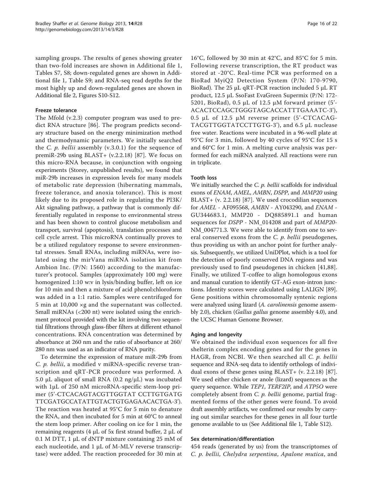sampling groups. The results of genes showing greater than two-fold increases are shown in Additional file [1](#page-19-0), Tables S7, S8; down-regulated genes are shown in Additional file [1](#page-19-0), Table S9; and RNA-seq read depths for the most highly up and down-regulated genes are shown in Additional file [2,](#page-19-0) Figures S10-S12.

# Freeze tolerance

The Mfold (v.2.3) computer program was used to predict RNA structure [[86](#page-21-0)]. The program predicts secondary structure based on the energy minimization method and thermodynamic parameters. We initially searched the *C. p. bellii* assembly  $(v.3.0.1)$  for the sequence of premiR-29b using BLAST+ (v.2.2.18) [\[87](#page-21-0)]. We focus on this micro-RNA because, in conjunction with ongoing experiments (Storey, unpublished results), we found that miR-29b increases in expression levels for many models of metabolic rate depression (hibernating mammals, freeze tolerance, and anoxia tolerance). This is most likely due to its proposed role in regulating the PI3K/ Akt signaling pathway, a pathway that is commonly differentially regulated in response to environmental stress and has been shown to control glucose metabolism and transport, survival (apoptosis), translation processes and cell cycle arrest. This microRNA continually proves to be a utilized regulatory response to severe environmental stresses. Small RNAs, including miRNAs, were isolated using the mirVana miRNA isolation kit from Ambion Inc. (P/N: 1560) according to the manufacturer's protocol. Samples (approximately 100 mg) were homogenized 1:10 w:v in lysis/binding buffer, left on ice for 10 min and then a mixture of acid phenol:chloroform was added in a 1:1 ratio. Samples were centrifuged for 5 min at 10,000 ×g and the supernatant was collected. Small miRNAs (<200 nt) were isolated using the enrichment protocol provided with the kit involving two sequential filtrations through glass-fiber filters at different ethanol concentrations. RNA concentration was determined by absorbance at 260 nm and the ratio of absorbance at 260/ 280 nm was used as an indicator of RNA purity.

To determine the expression of mature miR-29b from C. p. bellii, a modified v miRNA-specific reverse transcription and qRT-PCR procedure was performed. A 5.0 μL aliquot of small RNA (0.2 ng/μL) was incubated with 1μL of 250 nM microRNA-specific stem-loop primer (5'-CTCACAGTACGTTGGTAT CCTTGTGATG TTCGATGCCATATTGTACTGTGAGAACACTGA-3'). The reaction was heated at 95°C for 5 min to denature the RNA, and then incubated for 5 min at 60°C to anneal the stem loop primer. After cooling on ice for 1 min, the remaining reagents (4 μL of 5x first strand buffer, 2 μL of 0.1 M DTT, 1 μL of dNTP mixture containing 25 mM of each nucleotide, and 1 μL of M-MLV reverse transcriptase) were added. The reaction proceeded for 30 min at

16°C, followed by 30 min at 42°C, and 85°C for 5 min. Following reverse transcription, the RT product was stored at -20°C. Real-time PCR was performed on a BioRad MyiQ2 Detection System (P/N: 170-9790, BioRad). The 25 μL qRT-PCR reaction included 5 μL RT product, 12.5 μL SsoFast EvaGreen Supermix (P/N: 172- 5201, BioRad), 0.5 μL of 12.5 μM forward primer (5'- ACACTCCAGCTGGGTAGCACCATTTGAAATC-3'), 0.5 μL of 12.5 μM reverse primer (5'-CTCACAG-TACGTTGGTATCCTTGTG-3'), and 6.5 μL nuclease free water. Reactions were incubated in a 96-well plate at 95°C for 3 min, followed by 40 cycles of 95°C for 15 s and 60°C for 1 min. A melting curve analysis was performed for each miRNA analyzed. All reactions were run in triplicate.

# Tooth loss

We initially searched the  $C$ .  $p$ . bellii scaffolds for individual exons of ENAM, AMEL, AMBN, DSPP, and MMP20 using BLAST+ (v. 2.2.18) [\[87](#page-21-0)]. We used crocodilian sequences for AMEL - AF095568, AMBN - AY043290, and ENAM - GU344683.1, MMP20 - DQ885891.1 and human sequences for DSPP - NM\_014208 and part of MMP20- NM\_004771.3. We were able to identify from one to several conserved exons from the *C. p. bellii* pseudogenes, thus providing us with an anchor point for further analysis. Subsequently, we utilized UniDPlot, which is a tool for the detection of poorly conserved DNA regions and was previously used to find pseudogenes in chicken [[41,](#page-20-0)[88](#page-21-0)]. Finally, we utilized T-coffee to align homologous exons and manual curation to identify GT-AG exon-intron junctions. Identity scores were calculated using LALIGN [[89](#page-21-0)]. Gene positions within chromosomally syntenic regions were analyzed using lizard (A. carolinensis genome assembly 2.0), chicken (Gallus gallus genome assembly 4.0), and the UCSC Human Genome Browser.

# Aging and longevity

We obtained the individual exon sequences for all five shelterin complex encoding genes and for the genes in HAGR, from NCBI. We then searched all C. p. bellii sequence and RNA-seq data to identify orthologs of individual exons of these genes using  $BLAST+$  (v. 2.2.18) [\[87](#page-21-0)]. We used either chicken or anole (lizard) sequences as the query sequence. While TEP1, TERF2IP, and ATP5O were completely absent from  $C$ .  $p$ . bellii genome, partial fragmented forms of the other genes were found. To avoid draft assembly artifacts, we confirmed our results by carrying out similar searches for these genes in all four turtle genome available to us (See Additional file [1](#page-19-0), Table S12).

### Sex determination/differentiation

454 reads (generated by us) from the transcriptomes of C. p. bellii, Chelydra serpentina, Apalone mutica, and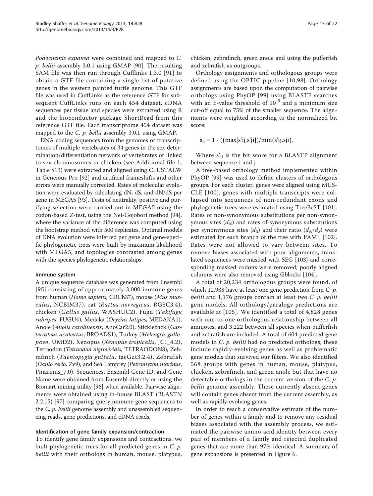Podocnemis expansa were combined and mapped to C. p. bellii assembly 3.0.1 using GMAP [[90\]](#page-21-0). The resulting SAM file was then run through Cufflinks 1.3.0 [[91](#page-21-0)] to obtain a GTF file containing a single list of putative genes in the western painted turtle genome. This GTF file was used in CuffLinks as the reference GTF for subsequent CuffLinks runs on each 454 dataset. cDNA sequences per tissue and species were extracted using R and the bioconductor package ShortRead from this reference GTF file. Each transcriptome 454 dataset was mapped to the *C. p. bellii* assembly 3.0.1 using GMAP.

DNA coding sequences from the genomes or transcriptomes of multiple vertebrates of 34 genes in the sex determination/differentiation network of vertebrates or linked to sex chromosomes in chicken (see Additional file [1](#page-19-0), Table S13) were extracted and aligned using CLUSTALW in Geneious Pro [\[92](#page-21-0)] and artificial frameshifts and other errors were manually corrected. Rates of molecular evolution were evaluated by calculating dN, dS, and dN/dS per gene in MEGA5 [[93](#page-21-0)]. Tests of neutrality, positive and purifying selection were carried out in MEGA5 using the codon-based Z-test, using the Nei-Gojobori method [\[94](#page-21-0)], where the variance of the difference was computed using the bootstrap method with 500 replicates. Optimal models of DNA evolution were inferred per gene and gene-specific phylogenetic trees were built by maximum likelihood with MEGA5, and topologies contrasted among genes with the species phylogenetic relationships.

# Immune system

A unique sequence database was generated from Ensembl [[95\]](#page-21-0) consisting of approximately 3,000 immune genes from human (Homo sapiens, GRCh37), mouse (Mus musculus, NCBIM37), rat (Rattus norvegicus, RGSC3.4), chicken (Gallus gallus, WASHUC2), Fugu (Takifugu rubripes, FUGU4), Medaka (Oryzias latipes, MEDAKA1), Anole (Anolis carolinensis, AnoCar2.0), Stickleback (Gasterosteus aculeatus, BROADS1), Turkey (Meleagris gallopavo, UMD2), Xenopus (Xenopus tropicalis, JGI\_4.2), Tetraodon (Tetraodon nigroviridis, TETRAODON8), Zebrafinch (Taeniopygia guttata, taeGut3.2.4), Zebrafish (Danio rerio, Zv9), and Sea Lamprey (Petromyzon marinus, Pmarinus\_7.0). Sequences, Ensembl Gene ID, and Gene Name were obtained from Ensembl directly or using the Biomart mining utility [\[96](#page-21-0)] when available. Pairwise alignments were obtained using in-house BLAST (BLASTN 2.2.15) [\[97](#page-21-0)] comparing query immune gene sequences to the *C. p. bellii* genome assembly and unassembled sequencing reads, gene predictions, and cDNA reads.

# Identification of gene family expansion/contraction

To identify gene family expansions and contractions, we built phylogenetic trees for all predicted genes in C. p. bellii with their orthologs in human, mouse, platypus,

chicken, zebrafinch, green anole and using the pufferfish and zebrafish as outgroups.

Orthology assignments and orthologous groups were defined using the OPTIC pipeline [[10](#page-20-0)[,98\]](#page-21-0). Orthology assignments are based upon the computation of pairwise orthologs using PhyOP [[99\]](#page-22-0) using BLASTP searches with an E-value threshold of  $10^{-5}$  and a minimum size cut-off equal to 75% of the smaller sequence. The alignments were weighted according to the normalized bit score:

 $s_{ij} = 1 - ((max[s'ij,s'ji])/min(s'ij,sji)).$ 

Where  $s'_{ij}$  is the bit score for a BLASTP alignment between sequence i and j.

A tree-based orthology method implemented within PhyOP [[99\]](#page-22-0) was used to define clusters of orthologous groups. For each cluster, genes were aligned using MUS-CLE [[100](#page-22-0)], genes with multiple transcripts were collapsed into sequences of non-redundant exons and phylogenetic trees were estimated using TreeBeST [[101](#page-22-0)]. Rates of non-synonymous substitutions per non-synonymous sites  $(d_N)$  and rates of synonymous substitutions per synonymous sites  $(d_S)$  and their ratio  $(d_N/d_S)$  were estimated for each branch of the tree with PAML [\[102](#page-22-0)]. Rates were not allowed to vary between sites. To remove biases associated with poor alignments, translated sequences were masked with SEG [\[103\]](#page-22-0) and corresponding masked codons were removed; poorly aligned columns were also removed using Gblocks [[104\]](#page-22-0).

A total of 20,234 orthologous groups were found, of which 12,938 have at least one gene prediction from *C. p.* bellii and 1,176 groups contain at least two C. p. bellii gene models. All orthology/paralogy predictions are available at [[105](#page-22-0)]. We identified a total of 4,828 genes with one-to-one orthologous relationship between all amniotes, and 3,222 between all species when pufferfish and zebrafish are included. A total of 604 predicted gene models in C. p. bellii had no predicted orthologs; these include rapidly-evolving genes as well as problematic gene models that survived our filters. We also identified 568 groups with genes in human, mouse, platypus, chicken, zebrafinch, and green anole but that have no detectable orthologs in the current version of the C. p. bellii genome assembly. These currently absent genes will contain genes absent from the current assembly, as well as rapidly-evolving genes.

In order to reach a conservative estimate of the number of genes within a family and to remove any residual biases associated with the assembly process, we estimated the pairwise amino acid identity between every pair of members of a family and rejected duplicated genes that are more than 97% identical. A summary of gene expansions is presented in Figure [6.](#page-11-0)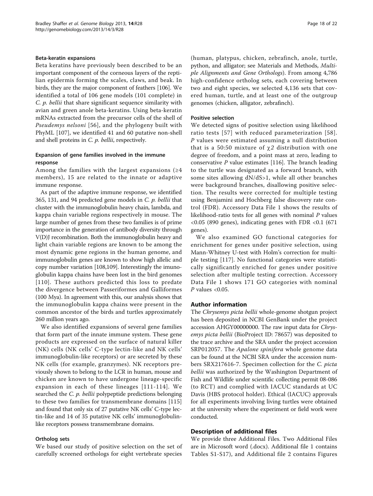# Beta-keratin expansions

Beta keratins have previously been described to be an important component of the corneous layers of the reptilian epidermis forming the scales, claws, and beak. In birds, they are the major component of feathers [\[106](#page-22-0)]. We identified a total of 106 gene models (101 complete) in C. p. bellii that share significant sequence similarity with avian and green anole beta-keratins. Using beta-keratin mRNAs extracted from the precursor cells of the shell of Pseudemys nelsoni [[56\]](#page-21-0), and the phylogeny built with PhyML [[107\]](#page-22-0), we identified 41 and 60 putative non-shell and shell proteins in C. p. bellii, respectively.

# Expansion of gene families involved in the immune response

Among the families with the largest expansions  $(≥4)$ members), 15 are related to the innate or adaptive immune response.

As part of the adaptive immune response, we identified 365, 131, and 94 predicted gene models in C. p. bellii that cluster with the immunoglobulin heavy chain, lambda, and kappa chain variable regions respectively in mouse. The large number of genes from these two families is of prime importance in the generation of antibody diversity through V(D)J recombination. Both the immunoglobulin heavy and light chain variable regions are known to be among the most dynamic gene regions in the human genome, and immunoglobulin genes are known to show high allelic and copy number variation [[108,109\]](#page-22-0). Interestingly the imunoglobulin kappa chains have been lost in the bird genomes [[110](#page-22-0)]. These authors predicted this loss to predate the divergence between Passeriformes and Galliformes (100 Mya). In agreement with this, our analysis shows that the immunoglobulin kappa chains were present in the common ancestor of the birds and turtles approximately 260 million years ago.

We also identified expansions of several gene families that form part of the innate immune system. These gene products are expressed on the surface of natural killer (NK) cells (NK cells' C-type lectin-like and NK cells' immunoglobulin-like receptors) or are secreted by these NK cells (for example, granzymes). NK receptors previously shown to belong to the LCR in human, mouse and chicken are known to have undergone lineage-specific expansion in each of these lineages [[111](#page-22-0)-[114\]](#page-22-0). We searched the *C. p. bellii* polypeptide predictions belonging to these two families for transmembrane domains [\[115](#page-22-0)] and found that only six of 27 putative NK cells' C-type lectin-like and 14 of 35 putative NK cells' immunoglobulinlike receptors possess transmembrane domains.

# Ortholog sets

We based our study of positive selection on the set of carefully screened orthologs for eight vertebrate species

(human, platypus, chicken, zebrafinch, anole, turtle, python, and alligator; see Materials and Methods, Multiple Alignments and Gene Orthologs). From among 4,786 high-confidence ortholog sets, each covering between two and eight species, we selected 4,136 sets that covered human, turtle, and at least one of the outgroup genomes (chicken, alligator, zebrafinch).

# Positive selection

We detected signs of positive selection using likelihood ratio tests [[57](#page-21-0)] with reduced parameterization [[58\]](#page-21-0). P values were estimated assuming a null distribution that is a 50:50 mixture of  $\chi$ 2 distribution with one degree of freedom, and a point mass at zero, leading to conservative  $P$  value estimates [\[116\]](#page-22-0). The branch leading to the turtle was designated as a forward branch, with some sites allowing dN/dS>1, while all other branches were background branches, disallowing positive selection. The results were corrected for multiple testing using Benjamini and Hochberg false discovery rate control (FDR). Accessory Data File 1 shows the results of likelihood-ratio tests for all genes with nominal P values  $<$  0.05 (890 genes), indicating genes with FDR  $<$  0.1 (671) genes).

We also examined GO functional categories for enrichment for genes under positive selection, using Mann-Whitney U-test with Holm's correction for multiple testing [[117\]](#page-22-0). No functional categories were statistically significantly enriched for genes under positive selection after multiple testing correction. Accessory Data File 1 shows 171 GO categories with nominal  $P$  values <0.05.

# Author information

The Chrysemys picta bellii whole-genome shotgun project has been deposited in NCBI GenBank under the project accession [AHGY00000000](http://www.ncbi.nih.gov/entrez/query.fcgi?db=Nucleotide&cmd=search&term=AHGY00000000). The raw input data for Chrysemys picta bellii (BioProject ID: 78657) was deposited to the trace archive and the SRA under the project accession SRP012057. The Apalone spinifera whole genome data can be found at the NCBI SRA under the accession numbers SRX217616-7. Specimen collection for the C. picta bellii was authorized by the Washington Department of Fish and Wildlife under scientific collecting permit 08-086 (to RCT) and complied with IACUC standards at UC Davis (HBS protocol holder). Ethical (IACUC) approvals for all experiments involving living turtles were obtained at the university where the experiment or field work were conducted.

# Description of additional files

We provide three Additional Files. Two Additional Files are in Microsoft word (.docx). Additional file [1](#page-19-0) contains Tables S1-S17), and Additional file [2](#page-19-0) contains Figures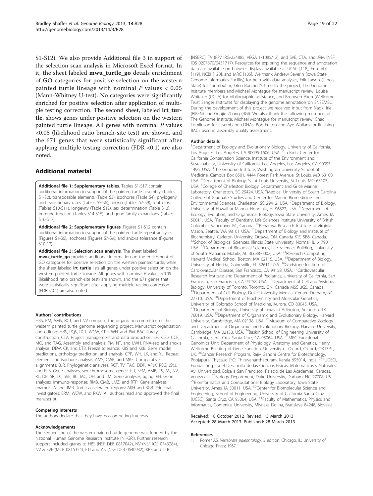<span id="page-19-0"></span>S1-S12). We also provide Additional file 3 in support of the selection scan analysis in Microsoft Excel format. In it, the sheet labeled mwu\_turtle\_go details enrichment of GO categories for positive selection on the western painted turtle lineage with nominal  $P$  values  $< 0.05$ (Mann-Whitney U-test). No categories were significantly enriched for positive selection after application of multiple testing correction. The second sheet, labeled lrt turtle, shows genes under positive selection on the western painted turtle lineage. All genes with nominal P values <0.05 (likelihood ratio branch-site test) are shown, and the 671 genes that were statistically significant after applying multiple testing correction (FDR <0.1) are also noted.

# Additional material

[Additional file 1: S](http://www.biomedcentral.com/content/supplementary/gb-2013-14-3-r28-S1.DOC)upplementary tables. Tables S1-S17 contain additional information in support of the painted turtle assembly (Tables S1-S2), transposable elements (Table S3), isochores (Table S4), phylogeny and evolutionary rates (Tables S5-S6), anoxia (Tables S7-S9), tooth loss (Tables S10-S11), longevity (Table S12), sex determination (Table S13), immune function (Tables S14-S15), and gene family expansions (Tables S16-S17).

[Additional file 2: S](http://www.biomedcentral.com/content/supplementary/gb-2013-14-3-r28-S2.DOCX)upplementary figures. Figures S1-S12 contain additional information in support of the painted turtle repeat analyses (Figures S1-S6), isochores (Figures S7-S9), and anoxia tolerance (Figures S10-12).

[Additional file 3: S](http://www.biomedcentral.com/content/supplementary/gb-2013-14-3-r28-S3.XLSX)election scan analysis. The sheet labeled mwu\_turtle\_go provides additional information on the enrichment of GO categories for positive selection on the western painted turtle, while the sheet labeled **Irt\_turtle** lists all genes under positive selection on the western painted turtle lineage. All genes with nominal P values <0.05 (likelihood ratio branch-site test) are shown, and the 671 genes that were statistically significant after applying multiple testing correction (FDR <0.1) are also noted.

#### Authors' contributions

HBS, PM, AMS, RCT, and NV comprise the organizing committee of the western painted turtle genome sequencing project. Manuscript organization and editing: HBS, PQS, RCT, WCW, CPP, WH, and PM. BAC library construction: CTA. Project management and data production: LF, KDD, CCF, MO, and TAG. Assembly and analysis: PM, NT, and LWH. RNA-seq and anoxia analysis: DEW, CK, and LTB. Freeze tolerance: KBS and KKB. Gene model predictions, orthology prediction, and analysis: CPP, WH, LK, and YL. Repeat element and isochore analysis: AMS, CWB, and MKF. Comparative alignments: BJR. Phylogenetic analyses: RCT, TV, TAC, DDP, APJK, REG, JSt.J, and ELB. Gene analyses, sex chromosome genes: FJJ, SEM, AMB, TS, AS, NV, RL, DB, SR, DJ, SVE, BC, MC, OH, and LM. Gene analyses, aging: RH. Gene analyses, immuno-response: RMB, GMB, LMZ, and RTP. Gene analyses, enamel: JA and JMR. Turtle accelerated regions: AKH and BGB. Principal investigators: ERM, WCW, and RKW. All authors read and approved the final manuscript.

#### Competing interests

The authors declare that they have no competing interests.

#### Acknowledgements

The sequencing of the western painted turtle genome was funded by the National Human Genome Research Institute (NHGRI). Further research support included grants to HBS (NSF DEB 0817042), NV (NSF IOS 0743284), NV & SVE (MCB 0815354), FJJ and AS (NSF DEB 0640932), KBS and LTB

(NSERC), TV (FP7 IRG-224885, VEGA 1/1085/12), and SVE, CTA, and JRM (NSF IOS 0207870/0431717). Resources for exploring the sequence and annotation data are available on browser displays available at UCSC [\[118\]](#page-22-0), Ensembl [[119](#page-22-0)], NCBI [[120\]](#page-22-0), and MRC [\[105](#page-22-0)]. We thank Andrew Severin (Iowa State Genome Informatics Facility) for help with data analyses, Erik Larson (Illinois State) for contributing Glen Borchert's time to the project, The Genome Institute members and Michael Montague for manuscript review, Louise Whitaker (UCLA) for bibliographic assistance, and Bronwen Aken (Wellcome Trust Sanger Institute) for displaying the genome annotation on ENSEMBL. During the development of this project we received input from Naoki Irie (RIKEN) and Guojie Zhang (BGI). We also thank the following members of The Genome Institute: Michael Montague for manuscript review, Chad Tomlinson for assembling cDNAs, Bob Fulton and Aye Wollam for finishing BACs used in assembly quality assessment.

#### Author details

<sup>1</sup>Department of Ecology and Evolutionary Biology, University of California Los Angeles, Los Angeles, CA 90095-1606, USA. <sup>2</sup>La Kretz Center for California Conservation Science, Institute of the Environment and Sustainability, University of California, Los Angeles, Los Angeles, CA 90095- 1496, USA. <sup>3</sup>The Genome Institute, Washington University School of Medicine, Campus Box 8501, 4444 Forest Park Avenue, St Louis, MO 63108, USA. <sup>4</sup> Department of Biology, Saint Louis University, St Louis, MO 63103, USA. <sup>5</sup>College of Charleston Biology Department and Grice Marine Laboratory, Charleston, SC 29424, USA. <sup>6</sup>Medical University of South Carolina College of Graduate Studies and Center for Marine Biomedicine and Environmental Sciences, Charleston, SC 29412, USA. <sup>7</sup>Department of Biology University of Hawaii at Manoa, Honolulu, HI 96822, USA. <sup>8</sup>Department of Ecology, Evolution, and Organismal Biology, Iowa State University, Ames, IA 50011, USA. <sup>9</sup>Faculty of Dentistry, Life Sciences Institute University of British Columbia, Vancouver BC, Canada. <sup>10</sup>Benaroya Research Institute at Virginia Mason, Seattle, WA 98101 USA. <sup>11</sup>Department of Biology and Institute of Biochemistry, Carleton University, Ottawa, ON, Canada K1S 5B6, Canada. <sup>12</sup>School of Biological Sciences, Illinois State University, Normal, IL 61790, USA. 13Department of Biological Sciences, Life Sciences Building, University of South Alabama, Mobile, AL 36688-0002, USA. 14Research Computing, Harvard Medical School, Boston, MA 02115, USA. <sup>15</sup>Department of Biology, University of Florida, Gainesville, FL 32611 USA. <sup>16</sup>Gladstone Institute of Cardiovascular Disease, San Francisco, CA 94158, USA. 17Cardiovascular Research Institute and Department of Pediatrics, University of California, San Francisco, San Francisco, CA 94158, USA. <sup>18</sup>Department of Cell and Systems Biology, University of Toronto, Toronto, ON, Canada M5S 3G5, Canada. <sup>19</sup>Department of Cell Biology, Duke University Medical Center, Durham, NC 27710, USA. <sup>20</sup>Department of Biochemistry and Molecular Genetics, University of Colorado School of Medicine, Aurora, CO 80045, USA. 21Department of Biology, University of Texas at Arlington, Arlington, TX 76019, USA. 22Department of Organismic and Evolutionary Biology, Harvard University, Cambridge, MA 02138, USA.<sup>23</sup>Museum of Comparative Zoology and Department of Organismic and Evolutionary Biology, Harvard University, Cambridge, MA 02138, USA. 24Baskin School of Engineering University of California, Santa Cruz Santa Cruz, CA 95064, USA.<sup>25</sup>MRC Functional Genomics Unit, Department of Physiology, Anatomy and Genetics, Henry Wellcome Building of Gene Function, University of Oxford, Oxford, OX13PT, UK. <sup>26</sup>Cancer Research Program, Rajiv Gandhi Centre for Biotechnology, Poojapura, Thycaud P.O, Thiruvananthapuram, Kerala 695014, India. <sup>27</sup>FUDECI, Fundación para el Desarrollo de las Ciencias Físicas, Matemáticas y Naturales. Av, Universidad, Bolsa a San Francisco, Palacio de Las Academias, Caracas, Venezuela. <sup>28</sup>Biology Department, Duke University, Durham, NC 27708, US.<br><sup>29</sup>Bioinformatics and Computational Biology Laboratory, Iowa State University, Ames, IA 50011, USA. <sup>30</sup>Center for Biomolecular Science and Engineering, School of Engineering, University of California Santa Cruz<br>(UCSC), Santa Cruz, CA 95064, USA. <sup>31</sup>Faculty of Mathematics, Physics and Informatics, Comenius University, Mlynska Dolina, Bratislava 84248, Slovakia.

Received: 18 October 2012 Revised: 15 March 2013 Accepted: 28 March 2013 Published: 28 March 2013

#### References

1. Romer AS: Vertebrate paleontology. 3 edition. Chicago, IL: University of Chicago Press; 1967.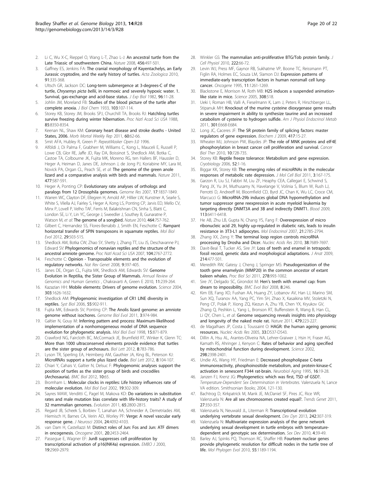- <span id="page-20-0"></span>2. Li C, Wu X-C, Rieppel O, Wang L-T, Zhao L-J: [An ancestral turtle from the](http://www.ncbi.nlm.nih.gov/pubmed/19037315?dopt=Abstract) [Late Triassic of southwestern China.](http://www.ncbi.nlm.nih.gov/pubmed/19037315?dopt=Abstract) Nature 2008, 456:497-501.
- Gaffney ES, Jenkins FA: The cranial morphology of Kayentachelys, an Early Jurassic cryptodire, and the early history of turtles. Acta Zoologica 2010, 91:335-368.
- 4. Ultsch GR, Jackson DC: Long-term submergence at 3-degrees-C of the turtle, Chrysemys picta bellii, in normoxic and severely hypoxic water. 1. Survival, gas-exchange and acid-base status. J Exp Biol 1982, 96:11-28.
- Johlin JM, Moreland FB: Studies of the blood picture of the turtle after complete anoxia. J Biol Chem 1933, 103:107-114.
- 6. Storey KB, Storey JM, Brooks SPJ, Churchill TA, Brooks RJ: [Hatchling turtles](http://www.ncbi.nlm.nih.gov/pubmed/3186730?dopt=Abstract) [survive freezing during winter hibernation.](http://www.ncbi.nlm.nih.gov/pubmed/3186730?dopt=Abstract) Proc Natl Acad Sci USA 1988, 85:8350-8354.
- 7. Keenan NL, Shaw KM: Coronary heart disease and stroke deaths United States, 2006. Morb Mortal Weekly Rep 2011, 60:62-66.
- 8. Smit AFA, Hubley R, Green P: RepeatMasker Open-3.0 1996.
- 9. Alföldi J, Di Palma F, Grabherr M, Williams C, Kong L, Mauceli E, Russell P, Lowe CB, Glor RE, Jaffe JD, Ray DA, Boissinot S, Shedlock AM, Botka C, Castoe TA, Colbourne JK, Fujita MK, Moreno RG, ten Hallers BF, Haussler D, Heger A, Heiman D, Janes DE, Johnson J, de Jong PJ, Koriabine MY, Lara M, Novick PA, Organ CL, Peach SE, et al: [The genome of the green anole](http://www.ncbi.nlm.nih.gov/pubmed/21881562?dopt=Abstract) [lizard and a comparative analysis with birds and mammals.](http://www.ncbi.nlm.nih.gov/pubmed/21881562?dopt=Abstract) Nature 2011, 477:587-591.
- 10. Heger A, Ponting CP: [Evolutionary rate analyses of orthologs and](http://www.ncbi.nlm.nih.gov/pubmed/17989258?dopt=Abstract) [paralogs from 12 Drosophila genomes.](http://www.ncbi.nlm.nih.gov/pubmed/17989258?dopt=Abstract) Genome Res 2007, 17:1837-1849.
- 11. Warren WC, Clayton DF, Ellegren H, Arnold AP, Hillier LW, Kunstner A, Searle S, White S, Vilella AJ, Fairley S, Heger A, Kong LS, Ponting CP, Jarvis ED, Mello CV, Minx P, Lovell P, Velho TAF, Ferris M, Balakrishnan CN, Sinha S, Blatti C, London SE, Li Y, Lin YC, George J, Sweedler J, Southey B, Gunaratne P, Watson M, et al: [The genome of a songbird.](http://www.ncbi.nlm.nih.gov/pubmed/20360741?dopt=Abstract) Nature 2010, 464:757-762.
- 12. Gilbert C, Hernandez SS, Flores-Benabib J, Smith EN, Feschotte C: [Rampant](http://www.ncbi.nlm.nih.gov/pubmed/21771716?dopt=Abstract) [horizontal transfer of SPIN transposons in squamate reptiles.](http://www.ncbi.nlm.nih.gov/pubmed/21771716?dopt=Abstract) Mol Biol Evol 2012, 29:503-515.
- 13. Shedlock AM, Botka CW, Zhao SY, Shetty J, Zhang TT, Liu JS, Deschavanne PJ, Edward SV: [Phylogenomics of nonavian reptiles and the structure of the](http://www.ncbi.nlm.nih.gov/pubmed/17307883?dopt=Abstract) [ancestral amniote genorne.](http://www.ncbi.nlm.nih.gov/pubmed/17307883?dopt=Abstract) Proc Natl Acad Sci USA 2007, 104:2767-2772.
- 14. Feschotte C: [Opinion Transposable elements and the evolution of](http://www.ncbi.nlm.nih.gov/pubmed/18368054?dopt=Abstract) [regulatory networks.](http://www.ncbi.nlm.nih.gov/pubmed/18368054?dopt=Abstract) Nat Rev Genet 2008, 9:397-405.
- 15. Janes DE, Organ CL, Fujita MK, Shedlock AM, Edwards SV: [Genome](http://www.ncbi.nlm.nih.gov/pubmed/20590429?dopt=Abstract) [Evolution in Reptilia, the Sister Group of Mammals.](http://www.ncbi.nlm.nih.gov/pubmed/20590429?dopt=Abstract) Annual Review of Genomics and Human Genetics , Chakravarti A, Green E 2010, 11:239-264.
- Kazazian HH: [Mobile elements: Drivers of genome evolution.](http://www.ncbi.nlm.nih.gov/pubmed/15016989?dopt=Abstract) Science 2004, 303:1626-1632.
- 17. Shedlock AM: [Phylogenomic investigation of CR1 LINE diversity in](http://www.ncbi.nlm.nih.gov/pubmed/17345672?dopt=Abstract) [reptiles.](http://www.ncbi.nlm.nih.gov/pubmed/17345672?dopt=Abstract) Syst Biol 2006, 55:902-911.
- 18. Fujita MK, Edwards SV, Ponting CP: [The Anolis lizard genome: an amniote](http://www.ncbi.nlm.nih.gov/pubmed/21795750?dopt=Abstract) [genome without isochores.](http://www.ncbi.nlm.nih.gov/pubmed/21795750?dopt=Abstract) Genome Biol Evol 2011, 3:974-984.
- 19. Galtier N, Gouy M: [Inferring pattern and process: Maximum-likelihood](http://www.ncbi.nlm.nih.gov/pubmed/9656487?dopt=Abstract) [implementation of a nonhomogeneous model of DNA sequence](http://www.ncbi.nlm.nih.gov/pubmed/9656487?dopt=Abstract) [evolution for phylogenetic analysis.](http://www.ncbi.nlm.nih.gov/pubmed/9656487?dopt=Abstract) Mol Biol Evol 1998, 15:871-879.
- 20. Crawford NG, Faircloth BC, McCormack JE, Brumfield RT, Winker K, Glenn TC: [More than 1000 ultraconserved elements provide evidence that turtles](http://www.ncbi.nlm.nih.gov/pubmed/22593086?dopt=Abstract) [are the sister group of archosaurs.](http://www.ncbi.nlm.nih.gov/pubmed/22593086?dopt=Abstract) Biol Lett 2012, 8:783-786.
- 21. Lyson TR, Sperling EA, Heimberg AM, Gauthier JA, King BL, Peterson KJ: [MicroRNAs support a turtle plus lizard clade.](http://www.ncbi.nlm.nih.gov/pubmed/21775315?dopt=Abstract) Biol Lett 2012, 8:104-107.
- 22. Chiari Y, Cahais V, Galtier N, Delsuc F: [Phylogenomic analyses support the](http://www.ncbi.nlm.nih.gov/pubmed/22839781?dopt=Abstract) [position of turtles as the sister group of birds and crocodiles](http://www.ncbi.nlm.nih.gov/pubmed/22839781?dopt=Abstract) [\(Archosauria\).](http://www.ncbi.nlm.nih.gov/pubmed/22839781?dopt=Abstract) BMC Biol 2012, 10:65.
- 23. Bromham L: [Molecular clocks in reptiles: Life history influences rate of](http://www.ncbi.nlm.nih.gov/pubmed/11861889?dopt=Abstract) [molecular evolution.](http://www.ncbi.nlm.nih.gov/pubmed/11861889?dopt=Abstract) Mol Biol Evol 2002, 19:302-309.
- 24. Sayres MAW, Venditti C, Pagel M, Makova KD: [Do variations in substitution](http://www.ncbi.nlm.nih.gov/pubmed/21967423?dopt=Abstract) [rates and male mutation bias correlate with life-history traits? A study of](http://www.ncbi.nlm.nih.gov/pubmed/21967423?dopt=Abstract) [32 mammalian genomes.](http://www.ncbi.nlm.nih.gov/pubmed/21967423?dopt=Abstract) Evolution 2011, 65:2800-2815.
- 25. Regard JB, Scheek S, Borbiev T, Lanahan AA, Schneider A, Demetriades AM, Hiemisch H, Barnes CA, Verin AD, Worley PF: [Verge: A novel vascular early](http://www.ncbi.nlm.nih.gov/pubmed/15102925?dopt=Abstract) [response gene.](http://www.ncbi.nlm.nih.gov/pubmed/15102925?dopt=Abstract) J Neurosci 2004, 24:4092-4103.
- 26. van Dam H, Castellazzi M: [Distinct roles of Jun: Fos and Jun: ATF dimers](http://www.ncbi.nlm.nih.gov/pubmed/11402340?dopt=Abstract) [in oncogenesis.](http://www.ncbi.nlm.nih.gov/pubmed/11402340?dopt=Abstract) Oncogene 2001, 20:2453-2464.
- 27. Passegue E, Wagner EF: [JunB suppresses cell proliferation by](http://www.ncbi.nlm.nih.gov/pubmed/10856241?dopt=Abstract) [transcriptional activation of p16\(INK4a\) expression.](http://www.ncbi.nlm.nih.gov/pubmed/10856241?dopt=Abstract) EMBO J 2000, 19:2969-2979.
- 28. Winkler GS: [The mammalian anti-proliferative BTG/Tob protein family.](http://www.ncbi.nlm.nih.gov/pubmed/19746446?dopt=Abstract) J Cell Physiol 2010, 222:66-72.
- 29. Levin WJ, Press MF, Gaynor RB, Sukhatme VP, Boone TC, Reissmann PT, Figlin RA, Holmes EC, Souza LM, Slamon DJ: [Expression patterns of](http://www.ncbi.nlm.nih.gov/pubmed/7478546?dopt=Abstract) [immediate-early transcription factors in human nonsmall cell lung](http://www.ncbi.nlm.nih.gov/pubmed/7478546?dopt=Abstract)[cancer.](http://www.ncbi.nlm.nih.gov/pubmed/7478546?dopt=Abstract) Oncogene 1995, 11:1261-1269.
- 30. Blackstone E, Morrison M, Roth MB: [H2S induces a suspended animation](http://www.ncbi.nlm.nih.gov/pubmed/15845845?dopt=Abstract)[like state in mice.](http://www.ncbi.nlm.nih.gov/pubmed/15845845?dopt=Abstract) Science 2005, 308:518.
- Ueki I, Roman HB, Valli A, Fieselmann K, Lam J, Peters R, Hirschberger LL, Stipanuk MH: [Knockout of the murine cysteine dioxygenase gene results](http://www.ncbi.nlm.nih.gov/pubmed/21693692?dopt=Abstract) [in severe impairment in ability to synthesize taurine and an increased](http://www.ncbi.nlm.nih.gov/pubmed/21693692?dopt=Abstract) [catabolism of cysteine to hydrogen sulfide.](http://www.ncbi.nlm.nih.gov/pubmed/21693692?dopt=Abstract) Am J Physiol Endocrinol Metab 2011, 301:E668-E684.
- 32. Long JC, Caceres JF: [The SR protein family of splicing factors: master](http://www.ncbi.nlm.nih.gov/pubmed/19061484?dopt=Abstract) [regulators of gene expression.](http://www.ncbi.nlm.nih.gov/pubmed/19061484?dopt=Abstract) Biochem J 2009, 417:15-27.
- 33. Wheater MJ, Johnson PW, Blaydes JP: [The role of MNK proteins and eIF4E](http://www.ncbi.nlm.nih.gov/pubmed/20686366?dopt=Abstract) [phosphorylation in breast cancer cell proliferation and survival.](http://www.ncbi.nlm.nih.gov/pubmed/20686366?dopt=Abstract) Cancer Biol Ther 2010, 10:728-735.
- 34. Storey KB: [Reptile freeze tolerance: Metabolism and gene expression.](http://www.ncbi.nlm.nih.gov/pubmed/16321368?dopt=Abstract) Cryobiology 2006, 52:1-16.
- 35. Biggar KK, Storey KB: [The emerging roles of microRNAs in the molecular](http://www.ncbi.nlm.nih.gov/pubmed/21177365?dopt=Abstract) [responses of metabolic rate depression.](http://www.ncbi.nlm.nih.gov/pubmed/21177365?dopt=Abstract) J Mol Cell Biol 2011, 3:167-175.
- 36. Garzon R, Liu SJ, Fabbri M, Liu ZF, Heaphy CEA, Callegari E, Schwind S, Pang JX, Yu JH, Muthusamy N, Havelange V, Volinia S, Blum W, Rush LJ, Perrotti D, Andreeff M, Bloomfield CD, Byrd JC, Chan K, Wu LC, Croce CM, Marcucci G: [MicroRNA-29b induces global DNA hypomethylation and](http://www.ncbi.nlm.nih.gov/pubmed/19211935?dopt=Abstract) [tumor suppressor gene reexpression in acute myeloid leukemia by](http://www.ncbi.nlm.nih.gov/pubmed/19211935?dopt=Abstract) [targeting directly DNMT3A and 3B and indirectly DNMT1.](http://www.ncbi.nlm.nih.gov/pubmed/19211935?dopt=Abstract) Blood 2009, 113:6411-6418.
- 37. He AB, Zhu LB, Gupta N, Chang YS, Fang F: [Overexpression of micro](http://www.ncbi.nlm.nih.gov/pubmed/17652184?dopt=Abstract) [ribonucleic acid 29, highly up-regulated in diabetic rats, leads to insulin](http://www.ncbi.nlm.nih.gov/pubmed/17652184?dopt=Abstract) [resistance in 3T3-L1 adipocytes.](http://www.ncbi.nlm.nih.gov/pubmed/17652184?dopt=Abstract) Mol Endocrinol 2007, 21:2785-2794.
- 38. Zhang XX, Zeng Y: [The terminal loop region controls microRNA](http://www.ncbi.nlm.nih.gov/pubmed/20660014?dopt=Abstract) [processing by Drosha and Dicer.](http://www.ncbi.nlm.nih.gov/pubmed/20660014?dopt=Abstract) Nucleic Acids Res 2010, 38:7689-7697.
- 39. Davit-Beal T, Tucker AS, Sire JY: [Loss of teeth and enamel in tetrapods:](http://www.ncbi.nlm.nih.gov/pubmed/19422426?dopt=Abstract) [fossil record, genetic data and morphological adaptations.](http://www.ncbi.nlm.nih.gov/pubmed/19422426?dopt=Abstract) J Anat 2009, 214:477-501.
- 40. Meredith RW, Gatesy J, Cheng J, Springer MS: [Pseudogenization of the](http://www.ncbi.nlm.nih.gov/pubmed/20861053?dopt=Abstract) [tooth gene enamelysin \(MMP20\) in the common ancestor of extant](http://www.ncbi.nlm.nih.gov/pubmed/20861053?dopt=Abstract) [baleen whales.](http://www.ncbi.nlm.nih.gov/pubmed/20861053?dopt=Abstract) Proc Biol Sci 2011, 278:993-1002.
- 41. Sire JY, Delgado SC, Girondot M: Hen'[s teeth with enamel cap: from](http://www.ncbi.nlm.nih.gov/pubmed/18775069?dopt=Abstract) [dream to impossibility.](http://www.ncbi.nlm.nih.gov/pubmed/18775069?dopt=Abstract) BMC Evol Biol 2008, 8:246.
- 42. Kim EB, Fang XD, Fushan AA, Huang ZY, Lobanov AV, Han LJ, Marino SM, Sun XQ, Turanov AA, Yang PC, Yim SH, Zhao X, Kasaikina MV, Stoletzki N, Peng CF, Polak P, Xiong ZQ, Kiezun A, Zhu YB, Chen YX, Kryukov GV, Zhang Q, Peshkin L, Yang L, Bronson RT, Buffenstein R, Wang B, Han CL, Li QY, Chen L, et al: [Genome sequencing reveals insights into physiology](http://www.ncbi.nlm.nih.gov/pubmed/21993625?dopt=Abstract) [and longevity of the naked mole rat.](http://www.ncbi.nlm.nih.gov/pubmed/21993625?dopt=Abstract) Nature 2011, 479:223-227.
- 43. de Magalhaes JP, Costa J, Toussaint O: [HAGR: the human ageing genomic](http://www.ncbi.nlm.nih.gov/pubmed/15608256?dopt=Abstract) [resources.](http://www.ncbi.nlm.nih.gov/pubmed/15608256?dopt=Abstract) Nucleic Acids Res 2005, 33:D537-D543.
- 44. Dillin A, Hsu AL, Arantes-Oliveira NA, Lehrer-Graiwer J, Hsin H, Fraser AG, Kamath RS, Ahringer J, Kenyon C: [Rates of behavior and aging specified](http://www.ncbi.nlm.nih.gov/pubmed/12471266?dopt=Abstract) [by mitochondrial function during development.](http://www.ncbi.nlm.nih.gov/pubmed/12471266?dopt=Abstract) Science 2002, 298:2398-2401.
- 45. Undie AS, Wang HY, Friedman E: [Decreased phospholipase C-beta](http://www.ncbi.nlm.nih.gov/pubmed/7723932?dopt=Abstract) [immunoreactivity, phosphoinositide metabolism, and protein-kinase-C](http://www.ncbi.nlm.nih.gov/pubmed/7723932?dopt=Abstract) [activation in senescent F344 rat-brain.](http://www.ncbi.nlm.nih.gov/pubmed/7723932?dopt=Abstract) Neurobiol Aging 1995, 16:19-28.
- 46. Janzen FJ, Krenz JG: Phylogenetics: which was first, TSD of GSD?. Temperature-Dependent Sex Determination in Vertebrates. Valenzuela N, Lance VA edition. Smithsonian Books; 2004, 121-130.
- 47. Bachtrog D, Kirkpatrick M, Mank JE, McDaniel SF, Pires JC, Rice WR, Valenzuela N: [Are all sex chromosomes created equal?.](http://www.ncbi.nlm.nih.gov/pubmed/21962970?dopt=Abstract) Trends Genet 2011, 27:350-357.
- 48. Valenzuela N, Neuwald JL, Literman R: [Transcriptional evolution](http://www.ncbi.nlm.nih.gov/pubmed/23108853?dopt=Abstract) [underlying vertebrate sexual development.](http://www.ncbi.nlm.nih.gov/pubmed/23108853?dopt=Abstract) Dev Dyn 2013, 242:307-319.
- 49. Valenzuela N: [Multivariate expression analysis of the gene network](http://www.ncbi.nlm.nih.gov/pubmed/20110645?dopt=Abstract) [underlying sexual development in turtle embryos with temperature](http://www.ncbi.nlm.nih.gov/pubmed/20110645?dopt=Abstract)[dependent and genotypic sex determination.](http://www.ncbi.nlm.nih.gov/pubmed/20110645?dopt=Abstract) Sex Dev 2010, 4:39-49.
- 50. Barley AJ, Spinks PQ, Thomson RC, Shaffer HB: Fourteen nuclear genes provide phylogenetic resolution for difficult nodes in the turtle tree of life. Mol Phylogen Evol 2010, 55:1189-1194.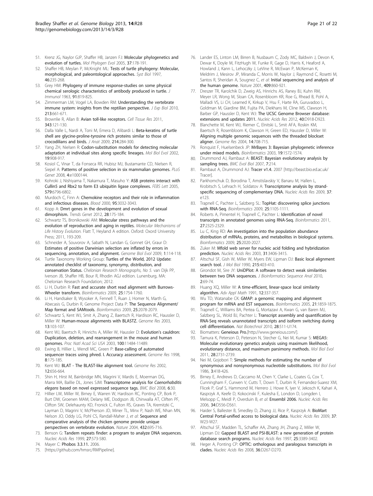- <span id="page-21-0"></span>51. Krenz JG, Naylor GJP, Shaffer HB, Janzen FJ: Molecular phylogenetics and evolution of turtles. Mol Phylogen Evol 2005, 37:178-191.
- 52. Shaffer HB, Meylan P, McKnight ML: [Tests of turtle phylogeny: Molecular,](http://www.ncbi.nlm.nih.gov/pubmed/11975342?dopt=Abstract) [morphological, and paleontological approaches.](http://www.ncbi.nlm.nih.gov/pubmed/11975342?dopt=Abstract) Syst Biol 1997, 46:235-268.
- 53. Grey HM: [Phylogeny of immune response-studies on some physical](http://www.ncbi.nlm.nih.gov/pubmed/14106306?dopt=Abstract) [chemical serologic characteristics of antibody produced in turtle.](http://www.ncbi.nlm.nih.gov/pubmed/14106306?dopt=Abstract) J Immunol 1963, 91:819-825.
- Zimmerman LM, Vogel LA, Bowden RM: [Understanding the vertebrate](http://www.ncbi.nlm.nih.gov/pubmed/20154181?dopt=Abstract) [immune system: insights from the reptilian perspective.](http://www.ncbi.nlm.nih.gov/pubmed/20154181?dopt=Abstract) J Exp Biol 2010, 213:661-671.
- 55. Brownlie R, Allan B: [Avian toll-like receptors.](http://www.ncbi.nlm.nih.gov/pubmed/20809414?dopt=Abstract) Cell Tissue Res 2011, 343:121-130.
- 56. Dalla Valle L, Nardi A, Toni M, Emera D, Alibardi L: [Beta-keratins of turtle](http://www.ncbi.nlm.nih.gov/pubmed/19207990?dopt=Abstract) [shell are glycine-proline-tyrosine rich proteins similar to those of](http://www.ncbi.nlm.nih.gov/pubmed/19207990?dopt=Abstract) [crocodilians and birds.](http://www.ncbi.nlm.nih.gov/pubmed/19207990?dopt=Abstract) J Anat 2009, 214:284-300.
- 57. Yang ZH, Nielsen R: [Codon-substitution models for detecting molecular](http://www.ncbi.nlm.nih.gov/pubmed/12032247?dopt=Abstract) [adaptation at individual sites along specific lineages.](http://www.ncbi.nlm.nih.gov/pubmed/12032247?dopt=Abstract) Mol Biol Evol 2002, 19:908-917.
- 58. Kosiol C, Vinar T, da Fonseca RR, Hubisz MJ, Bustamante CD, Nielsen R, Siepel A: [Patterns of positive selection in six mammalian genomes.](http://www.ncbi.nlm.nih.gov/pubmed/18670650?dopt=Abstract) PLoS Genet 2008, 4:e1000144.
- 59. Kohroki J, Nishiyama T, Nakamura T, Masuho Y: [ASB proteins interact with](http://www.ncbi.nlm.nih.gov/pubmed/16325183?dopt=Abstract) [Cullin5 and Rbx2 to form E3 ubiquitin ligase complexes.](http://www.ncbi.nlm.nih.gov/pubmed/16325183?dopt=Abstract) FEBS Lett 2005, 579:6796-6802.
- 60. Murdoch C, Finn A: [Chemokine receptors and their role in inflammation](http://www.ncbi.nlm.nih.gov/pubmed/10807766?dopt=Abstract) [and infectious diseases.](http://www.ncbi.nlm.nih.gov/pubmed/10807766?dopt=Abstract) Blood 2000, 95:3032-3043.
- 61. Kopp A: [Dmrt genes in the development and evolution of sexual](http://www.ncbi.nlm.nih.gov/pubmed/22425532?dopt=Abstract) [dimorphism.](http://www.ncbi.nlm.nih.gov/pubmed/22425532?dopt=Abstract) Trends Genet 2012, 28:175-184.
- 62. Schwartz TS, Bronikowski AM: Molecular stress pathways and the evolution of reproduction and aging in reptiles. Molecular Mechanisms of Life History Evolution. Flatt T, Heyland A edition. Oxford: Oxord University Press; 2011, 193-209.
- 63. Schneider A, Souvorov A, Sabath N, Landan G, Gonnet GH, Graur D: [Estimates of positive Darwinian selection are inflated by errors in](http://www.ncbi.nlm.nih.gov/pubmed/20333182?dopt=Abstract) [sequencing, annotation, and alignment.](http://www.ncbi.nlm.nih.gov/pubmed/20333182?dopt=Abstract) Genome Biol Evol 2009, 1:114-118.
- 64. Turtle Taxonomy Working Group: Turtles of the World, 2012 Update: annotated checklist of taxonomy, synonymy, distribution, and conservation Status. Chelonian Research Monographs, No 5. van Dijk PP, Iverson JB, Shaffer HB, Bour R, Rhodin AGJ edition. Lunenburg, MA: Chelonian Research Foundation; 2012.
- 65. Li H, Durbin R: [Fast and accurate short read alignment with Burrows-](http://www.ncbi.nlm.nih.gov/pubmed/19451168?dopt=Abstract)[Wheeler transform.](http://www.ncbi.nlm.nih.gov/pubmed/19451168?dopt=Abstract) Bioinformatics 2009, 25:1754-1760.
- 66. Li H, Handsaker B, Wysoker A, Fennell T, Ruan J, Homer N, Marth G, Abecasis G, Durbin R, Genome Project Data P: [The Sequence Alignment/](http://www.ncbi.nlm.nih.gov/pubmed/19505943?dopt=Abstract) [Map format and SAMtools.](http://www.ncbi.nlm.nih.gov/pubmed/19505943?dopt=Abstract) Bioinformatics 2009, 25:2078-2079.
- 67. Schwartz S, Kent WJ, Smit A, Zhang Z, Baertsch R, Hardison RC, Haussler D, Miller W: [Human-mouse alignments with BLASTZ.](http://www.ncbi.nlm.nih.gov/pubmed/12529312?dopt=Abstract) Genome Res 2003, 13:103-107.
- 68. Kent WJ, Baertsch R, Hinrichs A, Miller W, Haussler D: Evolution'[s cauldron:](http://www.ncbi.nlm.nih.gov/pubmed/14500911?dopt=Abstract) [Duplication, deletion, and rearrangement in the mouse and human](http://www.ncbi.nlm.nih.gov/pubmed/14500911?dopt=Abstract) [genomes.](http://www.ncbi.nlm.nih.gov/pubmed/14500911?dopt=Abstract) Proc Natl Acad Sci USA 2003, 100:11484-11489.
- 69. Ewing B, Hillier L, Wendl MC, Green P: [Base-calling of automated](http://www.ncbi.nlm.nih.gov/pubmed/9521921?dopt=Abstract) [sequencer traces using phred. I. Accuracy assessment.](http://www.ncbi.nlm.nih.gov/pubmed/9521921?dopt=Abstract) Genome Res 1998, 8:175-185.
- 70. Kent WJ: [BLAT The BLAST-like alignment tool.](http://www.ncbi.nlm.nih.gov/pubmed/11932250?dopt=Abstract) Genome Res 2002, 12:656-664.
- 71. Shin H, Hirst M, Bainbridge MN, Magrini V, Mardis E, Moerman DG, Marra MA, Baillie DL, Jones SJM: [Transcriptome analysis for](http://www.ncbi.nlm.nih.gov/pubmed/18611272?dopt=Abstract) Caenorhabditis elegans [based on novel expressed sequence tags.](http://www.ncbi.nlm.nih.gov/pubmed/18611272?dopt=Abstract) BMC Biol 2008, 6:30.
- 72. Hillier LW, Miller W, Birney E, Warren W, Hardison RC, Ponting CP, Bork P, Burt DW, Groenen MAM, Delany ME, Dodgson JB, Chinwalla AT, Cliften PF, Clifton SW, Delehaunty KD, Fronick C, Fulton RS, Graves TA, Kremitzki C, Layman D, Magrini V, McPherson JD, Miner TL, Minx P, Nash WE, Nhan MN, Nelson JO, Oddy LG, Pohl CS, Randall-Maher J, et al: [Sequence and](http://www.ncbi.nlm.nih.gov/pubmed/15592404?dopt=Abstract) [comparative analysis of the chicken genome provide unique](http://www.ncbi.nlm.nih.gov/pubmed/15592404?dopt=Abstract) [perspectives on vertebrate evolution.](http://www.ncbi.nlm.nih.gov/pubmed/15592404?dopt=Abstract) Nature 2004, 432:695-716.
- 73. Benson G: [Tandem repeats finder: a program to analyze DNA sequences.](http://www.ncbi.nlm.nih.gov/pubmed/9862982?dopt=Abstract) Nucleic Acids Res 1999, 27:573-580.
- 74. Mayer C: Phobos 3.3.11. 2006.
- 75. [\[https://github.com/hmsrc/RMPipeline](https://github.com/hmsrc/RMPipeline)].
- 76. Lander ES, Linton LM, Birren B, Nusbaum C, Zody MC, Baldwin J, Devon K, Dewar K, Doyle M, FitzHugh W, Funke R, Gage D, Harris K, Heaford A, Howland J, Kann L, Lehoczky J, LeVine R, McEwan P, McKernan K, Meldrim J, Mesirov JP, Miranda C, Morris W, Naylor J, Raymond C, Rosetti M, Santos R, Sheridan A, Sougnez C, et al: [Initial sequencing and analysis of](http://www.ncbi.nlm.nih.gov/pubmed/11237011?dopt=Abstract) [the human genome.](http://www.ncbi.nlm.nih.gov/pubmed/11237011?dopt=Abstract) Nature 2001, 409:860-921.
- 77. Dreszer TR, Karolchik D, Zweig AS, Hinrichs AS, Raney BJ, Kuhn RM, Meyer LR, Wong M, Sloan CA, Rosenbloom KR, Roe G, Rhead B, Pohl A, Malladi VS, Li CH, Learned K, Kirkup V, Hsu F, Harte RA, Guruvadoo L, Goldman M, Giardine BM, Fujita PA, Diekhans M, Cline MS, Clawson H, Barber GP, Haussler D, Kent WJ: [The UCSC Genome Browser database:](http://www.ncbi.nlm.nih.gov/pubmed/22086951?dopt=Abstract) [extensions and updates 2011.](http://www.ncbi.nlm.nih.gov/pubmed/22086951?dopt=Abstract) Nucleic Acids Res 2012, 40:D918-D923.
- 78. Blanchette M, Kent WJ, Riemer C, Elnitski L, Smit AFA, Roskin KM, Baertsch R, Rosenbloom K, Clawson H, Green ED, Haussler D, Miller W: [Aligning multiple genomic sequences with the threaded blockset](http://www.ncbi.nlm.nih.gov/pubmed/15060014?dopt=Abstract) [aligner.](http://www.ncbi.nlm.nih.gov/pubmed/15060014?dopt=Abstract) Genome Res 2004, 14:708-715.
- 79. Ronquist F, Huelsenbeck JP: [MrBayes 3: Bayesian phylogenetic inference](http://www.ncbi.nlm.nih.gov/pubmed/12912839?dopt=Abstract) [under mixed models.](http://www.ncbi.nlm.nih.gov/pubmed/12912839?dopt=Abstract) Bioinformatics 2003, 19:1572-1574.
- 80. Drummond AJ, Rambaut A: [BEAST: Bayesian evolutionary analysis by](http://www.ncbi.nlm.nih.gov/pubmed/17996036?dopt=Abstract) [sampling trees.](http://www.ncbi.nlm.nih.gov/pubmed/17996036?dopt=Abstract) BMC Evol Biol 2007, 7:214.
- 81. Rambaut A, Drummond AJ: Tracer v1.4. 2007 [[http://beast.bio.ed.ac.uk/](http://beast.bio.ed.ac.uk/Tracer) [Tracer\]](http://beast.bio.ed.ac.uk/Tracer).
- 82. Parkhomchuk D, Borodina T, Amstislavskiy V, Banaru M, Hallen L, Krobitsch S, Lehrach H, Soldatov A: [Transcriptome analysis by strand](http://www.ncbi.nlm.nih.gov/pubmed/19620212?dopt=Abstract)[specific sequencing of complementary DNA.](http://www.ncbi.nlm.nih.gov/pubmed/19620212?dopt=Abstract) Nucleic Acids Res 2009, 37:  $^{6123}$
- 83. Trapnell C, Pachter L, Salzberg SL: [TopHat: discovering splice junctions](http://www.ncbi.nlm.nih.gov/pubmed/19289445?dopt=Abstract) [with RNA-Seq.](http://www.ncbi.nlm.nih.gov/pubmed/19289445?dopt=Abstract) Bioinformatics 2009, 25:1105-1111.
- 84. Roberts A, Pimentel H, Trapnell C, Pachter L: [Identification of novel](http://www.ncbi.nlm.nih.gov/pubmed/21697122?dopt=Abstract) transcripts in annotated genomes using RNA-Seg. Bioinformatics 2011, 27:2325-2329.
- Lu C, King RD: [An investigation into the population abundance](http://www.ncbi.nlm.nih.gov/pubmed/19535531?dopt=Abstract) [distribution of mRNAs, proteins, and metabolites in biological systems.](http://www.ncbi.nlm.nih.gov/pubmed/19535531?dopt=Abstract) Bioinformatics 2009, 25:2020-2027.
- 86. Zuker M: [Mfold web server for nucleic acid folding and hybridization](http://www.ncbi.nlm.nih.gov/pubmed/12824337?dopt=Abstract) [prediction.](http://www.ncbi.nlm.nih.gov/pubmed/12824337?dopt=Abstract) Nucleic Acids Res 2003, 31:3406-3415.
- Altschul SF, Gish W, Miller W, Myers EW, Lipman DJ: [Basic local alignment](http://www.ncbi.nlm.nih.gov/pubmed/2231712?dopt=Abstract) [search tool.](http://www.ncbi.nlm.nih.gov/pubmed/2231712?dopt=Abstract) *J Mol Biol* 1990, 215:403-410.
- 88. Girondot M, Sire JY: UniDPlot: A software to detect weak similarities between two DNA sequences. *J Bioinformatics Sequence Anal 2010*, 2:69-74.
- 89. Huang XQ, Miller W: A time-efficient, linear-space local similarity algorithm. Adv Appl Math 1991, 12:337-357.
- 90. Wu TD, Watanabe CK: [GMAP: a genomic mapping and alignment](http://www.ncbi.nlm.nih.gov/pubmed/15728110?dopt=Abstract) [program for mRNA and EST sequences.](http://www.ncbi.nlm.nih.gov/pubmed/15728110?dopt=Abstract) Bioinformatics 2005, 21:1859-1875.
- 91. Trapnell C, Williams BA, Pertea G, Mortazavi A, Kwan G, van Baren MJ, Salzberg SL, Wold BJ, Pachter L: [Transcript assembly and quantification by](http://www.ncbi.nlm.nih.gov/pubmed/20436464?dopt=Abstract) [RNA-Seq reveals unannotated transcripts and isoform switching during](http://www.ncbi.nlm.nih.gov/pubmed/20436464?dopt=Abstract) [cell differentiation.](http://www.ncbi.nlm.nih.gov/pubmed/20436464?dopt=Abstract) Nat Biotechnol 2010, 28:511-U174.
- 92. Biomatters: Geneious Pro.[<http://www.geneious.com/>].
- 93. Tamura K, Peterson D, Peterson N, Stecher G, Nei M, Kumar S: [MEGA5:](http://www.ncbi.nlm.nih.gov/pubmed/21546353?dopt=Abstract) [Molecular evolutionary genetics analysis using maximum likelihood,](http://www.ncbi.nlm.nih.gov/pubmed/21546353?dopt=Abstract) [evolutionary distance, and maximum parsimony methods.](http://www.ncbi.nlm.nih.gov/pubmed/21546353?dopt=Abstract) Mol Biol Evol 2011, 28:2731-2739.
- 94. Nei M, Gojobori T: [Simple methods for estimating the number of](http://www.ncbi.nlm.nih.gov/pubmed/3444411?dopt=Abstract) [synonymous and nonsynonymous nucleotide substitutions.](http://www.ncbi.nlm.nih.gov/pubmed/3444411?dopt=Abstract) Mol Biol Evol 1986, 3:418-426.
- 95. Birney E, Andrews D, Caccamo M, Chen Y, Clarke L, Coates G, Cox T, Cunningham F, Curwen V, Cutts T, Down T, Durbin R, Fernandez-Suarez XM, Flicek P, Graf S, Hammond M, Herrero J, Howe K, Iyer V, Jekosch K, Kahari A, Kasprzyk A, Keefe D, Kokocinski F, Kulesha E, London D, Longden I, Melsopp C, Meidl P, Overduin B, et al: [Ensembl 2006.](http://www.ncbi.nlm.nih.gov/pubmed/16381931?dopt=Abstract) Nucleic Acids Res 2006, 34:D556-D561.
- 96. Haider S, Ballester B, Smedley D, Zhang JJ, Rice P, Kasprzyk A: [BioMart](http://www.ncbi.nlm.nih.gov/pubmed/19420058?dopt=Abstract) [Central Portal-unified access to biological data.](http://www.ncbi.nlm.nih.gov/pubmed/19420058?dopt=Abstract) Nucleic Acids Res 2009, 37: W23-W27
- 97. Altschul SF, Madden TL, Schaffer AA, Zhang JH, Zhang Z, Miller W, Lipman DJ: [Gapped BLAST and PSI-BLAST: a new generation of protein](http://www.ncbi.nlm.nih.gov/pubmed/9254694?dopt=Abstract) [database search programs.](http://www.ncbi.nlm.nih.gov/pubmed/9254694?dopt=Abstract) Nucleic Acids Res 1997, 25:3389-3402.
- 98. Heger A, Ponting CP: [OPTIC: orthologous and paralogous transcripts in](http://www.ncbi.nlm.nih.gov/pubmed/17933761?dopt=Abstract) [clades.](http://www.ncbi.nlm.nih.gov/pubmed/17933761?dopt=Abstract) Nucleic Acids Res 2008, 36:D267-D270.